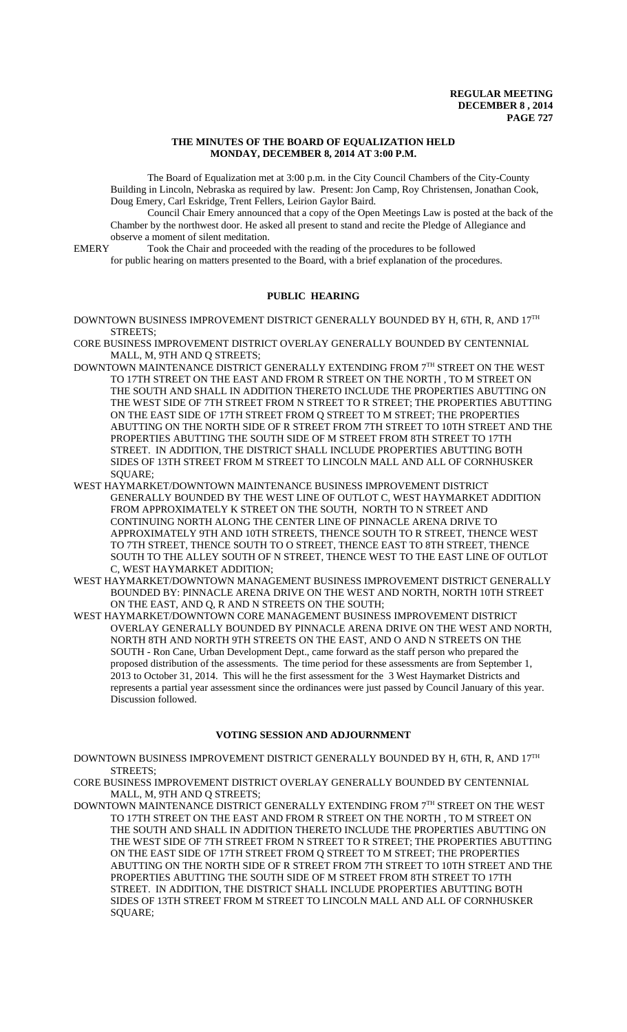#### **THE MINUTES OF THE BOARD OF EQUALIZATION HELD MONDAY, DECEMBER 8, 2014 AT 3:00 P.M.**

The Board of Equalization met at 3:00 p.m. in the City Council Chambers of the City-County Building in Lincoln, Nebraska as required by law. Present: Jon Camp, Roy Christensen, Jonathan Cook, Doug Emery, Carl Eskridge, Trent Fellers, Leirion Gaylor Baird.

Council Chair Emery announced that a copy of the Open Meetings Law is posted at the back of the Chamber by the northwest door. He asked all present to stand and recite the Pledge of Allegiance and observe a moment of silent meditation.<br>EMERY Took the Chair and proceeded

Took the Chair and proceeded with the reading of the procedures to be followed for public hearing on matters presented to the Board, with a brief explanation of the procedures.

# **PUBLIC HEARING**

DOWNTOWN BUSINESS IMPROVEMENT DISTRICT GENERALLY BOUNDED BY H, 6TH, R, AND 17TH STREETS;

CORE BUSINESS IMPROVEMENT DISTRICT OVERLAY GENERALLY BOUNDED BY CENTENNIAL MALL, M, 9TH AND Q STREETS;

- DOWNTOWN MAINTENANCE DISTRICT GENERALLY EXTENDING FROM 7TH STREET ON THE WEST TO 17TH STREET ON THE EAST AND FROM R STREET ON THE NORTH , TO M STREET ON THE SOUTH AND SHALL IN ADDITION THERETO INCLUDE THE PROPERTIES ABUTTING ON THE WEST SIDE OF 7TH STREET FROM N STREET TO R STREET; THE PROPERTIES ABUTTING ON THE EAST SIDE OF 17TH STREET FROM Q STREET TO M STREET; THE PROPERTIES ABUTTING ON THE NORTH SIDE OF R STREET FROM 7TH STREET TO 10TH STREET AND THE PROPERTIES ABUTTING THE SOUTH SIDE OF M STREET FROM 8TH STREET TO 17TH STREET. IN ADDITION, THE DISTRICT SHALL INCLUDE PROPERTIES ABUTTING BOTH SIDES OF 13TH STREET FROM M STREET TO LINCOLN MALL AND ALL OF CORNHUSKER SQUARE;
- WEST HAYMARKET/DOWNTOWN MAINTENANCE BUSINESS IMPROVEMENT DISTRICT GENERALLY BOUNDED BY THE WEST LINE OF OUTLOT C, WEST HAYMARKET ADDITION FROM APPROXIMATELY K STREET ON THE SOUTH, NORTH TO N STREET AND CONTINUING NORTH ALONG THE CENTER LINE OF PINNACLE ARENA DRIVE TO APPROXIMATELY 9TH AND 10TH STREETS, THENCE SOUTH TO R STREET, THENCE WEST TO 7TH STREET, THENCE SOUTH TO O STREET, THENCE EAST TO 8TH STREET, THENCE SOUTH TO THE ALLEY SOUTH OF N STREET, THENCE WEST TO THE EAST LINE OF OUTLOT C, WEST HAYMARKET ADDITION;
- WEST HAYMARKET/DOWNTOWN MANAGEMENT BUSINESS IMPROVEMENT DISTRICT GENERALLY BOUNDED BY: PINNACLE ARENA DRIVE ON THE WEST AND NORTH, NORTH 10TH STREET ON THE EAST, AND Q, R AND N STREETS ON THE SOUTH;
- WEST HAYMARKET/DOWNTOWN CORE MANAGEMENT BUSINESS IMPROVEMENT DISTRICT OVERLAY GENERALLY BOUNDED BY PINNACLE ARENA DRIVE ON THE WEST AND NORTH, NORTH 8TH AND NORTH 9TH STREETS ON THE EAST, AND O AND N STREETS ON THE SOUTH - Ron Cane, Urban Development Dept., came forward as the staff person who prepared the proposed distribution of the assessments. The time period for these assessments are from September 1, 2013 to October 31, 2014. This will he the first assessment for the 3 West Haymarket Districts and represents a partial year assessment since the ordinances were just passed by Council January of this year. Discussion followed.

# **VOTING SESSION AND ADJOURNMENT**

- DOWNTOWN BUSINESS IMPROVEMENT DISTRICT GENERALLY BOUNDED BY H, 6TH, R, AND 17TH STREETS;
- CORE BUSINESS IMPROVEMENT DISTRICT OVERLAY GENERALLY BOUNDED BY CENTENNIAL MALL, M, 9TH AND Q STREETS;
- DOWNTOWN MAINTENANCE DISTRICT GENERALLY EXTENDING FROM 7TH STREET ON THE WEST TO 17TH STREET ON THE EAST AND FROM R STREET ON THE NORTH , TO M STREET ON THE SOUTH AND SHALL IN ADDITION THERETO INCLUDE THE PROPERTIES ABUTTING ON THE WEST SIDE OF 7TH STREET FROM N STREET TO R STREET; THE PROPERTIES ABUTTING ON THE EAST SIDE OF 17TH STREET FROM Q STREET TO M STREET; THE PROPERTIES ABUTTING ON THE NORTH SIDE OF R STREET FROM 7TH STREET TO 10TH STREET AND THE PROPERTIES ABUTTING THE SOUTH SIDE OF M STREET FROM 8TH STREET TO 17TH STREET. IN ADDITION, THE DISTRICT SHALL INCLUDE PROPERTIES ABUTTING BOTH SIDES OF 13TH STREET FROM M STREET TO LINCOLN MALL AND ALL OF CORNHUSKER SQUARE;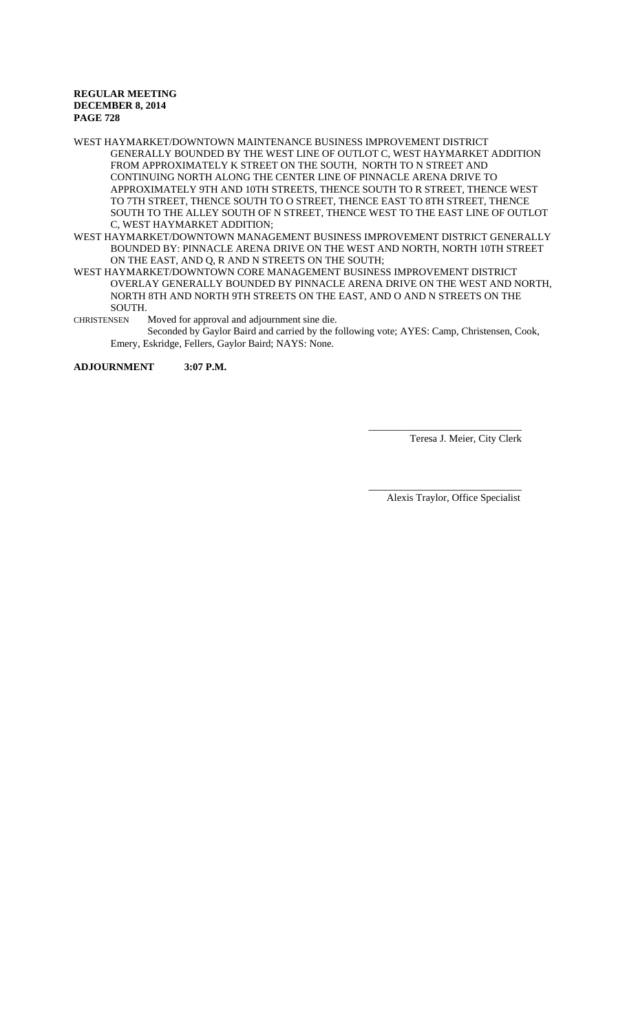WEST HAYMARKET/DOWNTOWN MAINTENANCE BUSINESS IMPROVEMENT DISTRICT GENERALLY BOUNDED BY THE WEST LINE OF OUTLOT C, WEST HAYMARKET ADDITION FROM APPROXIMATELY K STREET ON THE SOUTH, NORTH TO N STREET AND CONTINUING NORTH ALONG THE CENTER LINE OF PINNACLE ARENA DRIVE TO APPROXIMATELY 9TH AND 10TH STREETS, THENCE SOUTH TO R STREET, THENCE WEST TO 7TH STREET, THENCE SOUTH TO O STREET, THENCE EAST TO 8TH STREET, THENCE SOUTH TO THE ALLEY SOUTH OF N STREET, THENCE WEST TO THE EAST LINE OF OUTLOT C, WEST HAYMARKET ADDITION;

- WEST HAYMARKET/DOWNTOWN MANAGEMENT BUSINESS IMPROVEMENT DISTRICT GENERALLY BOUNDED BY: PINNACLE ARENA DRIVE ON THE WEST AND NORTH, NORTH 10TH STREET ON THE EAST, AND Q, R AND N STREETS ON THE SOUTH;
- WEST HAYMARKET/DOWNTOWN CORE MANAGEMENT BUSINESS IMPROVEMENT DISTRICT OVERLAY GENERALLY BOUNDED BY PINNACLE ARENA DRIVE ON THE WEST AND NORTH, NORTH 8TH AND NORTH 9TH STREETS ON THE EAST, AND O AND N STREETS ON THE SOUTH.
- CHRISTENSEN Moved for approval and adjournment sine die.
	- Seconded by Gaylor Baird and carried by the following vote; AYES: Camp, Christensen, Cook, Emery, Eskridge, Fellers, Gaylor Baird; NAYS: None.

**ADJOURNMENT 3:07 P.M.**

\_\_\_\_\_\_\_\_\_\_\_\_\_\_\_\_\_\_\_\_\_\_\_\_\_\_\_\_\_\_ Teresa J. Meier, City Clerk

Alexis Traylor, Office Specialist

\_\_\_\_\_\_\_\_\_\_\_\_\_\_\_\_\_\_\_\_\_\_\_\_\_\_\_\_\_\_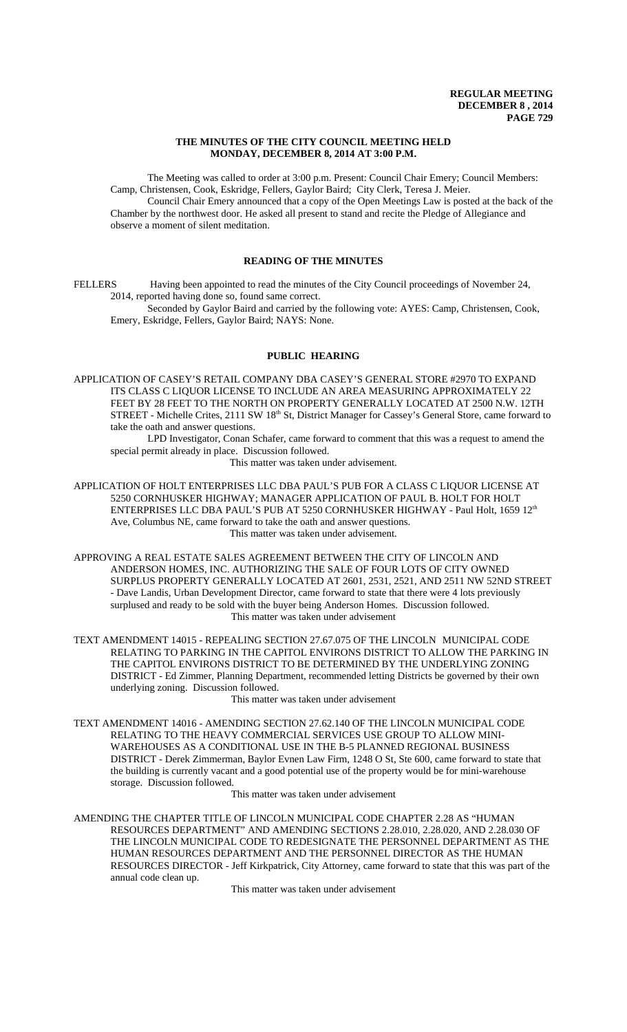### **THE MINUTES OF THE CITY COUNCIL MEETING HELD MONDAY, DECEMBER 8, 2014 AT 3:00 P.M.**

The Meeting was called to order at 3:00 p.m. Present: Council Chair Emery; Council Members: Camp, Christensen, Cook, Eskridge, Fellers, Gaylor Baird; City Clerk, Teresa J. Meier.

Council Chair Emery announced that a copy of the Open Meetings Law is posted at the back of the Chamber by the northwest door. He asked all present to stand and recite the Pledge of Allegiance and observe a moment of silent meditation.

# **READING OF THE MINUTES**

FELLERS Having been appointed to read the minutes of the City Council proceedings of November 24, 2014, reported having done so, found same correct.

Seconded by Gaylor Baird and carried by the following vote: AYES: Camp, Christensen, Cook, Emery, Eskridge, Fellers, Gaylor Baird; NAYS: None.

# **PUBLIC HEARING**

APPLICATION OF CASEY'S RETAIL COMPANY DBA CASEY'S GENERAL STORE #2970 TO EXPAND ITS CLASS C LIQUOR LICENSE TO INCLUDE AN AREA MEASURING APPROXIMATELY 22 FEET BY 28 FEET TO THE NORTH ON PROPERTY GENERALLY LOCATED AT 2500 N.W. 12TH STREET - Michelle Crites, 2111 SW 18<sup>th</sup> St, District Manager for Cassey's General Store, came forward to take the oath and answer questions.

LPD Investigator, Conan Schafer, came forward to comment that this was a request to amend the special permit already in place. Discussion followed.

This matter was taken under advisement.

APPLICATION OF HOLT ENTERPRISES LLC DBA PAUL'S PUB FOR A CLASS C LIQUOR LICENSE AT 5250 CORNHUSKER HIGHWAY; MANAGER APPLICATION OF PAUL B. HOLT FOR HOLT ENTERPRISES LLC DBA PAUL'S PUB AT 5250 CORNHUSKER HIGHWAY - Paul Holt, 1659 12<sup>th</sup> Ave, Columbus NE, came forward to take the oath and answer questions. This matter was taken under advisement.

APPROVING A REAL ESTATE SALES AGREEMENT BETWEEN THE CITY OF LINCOLN AND ANDERSON HOMES, INC. AUTHORIZING THE SALE OF FOUR LOTS OF CITY OWNED SURPLUS PROPERTY GENERALLY LOCATED AT 2601, 2531, 2521, AND 2511 NW 52ND STREET - Dave Landis, Urban Development Director, came forward to state that there were 4 lots previously surplused and ready to be sold with the buyer being Anderson Homes. Discussion followed. This matter was taken under advisement

TEXT AMENDMENT 14015 - REPEALING SECTION 27.67.075 OF THE LINCOLN MUNICIPAL CODE RELATING TO PARKING IN THE CAPITOL ENVIRONS DISTRICT TO ALLOW THE PARKING IN THE CAPITOL ENVIRONS DISTRICT TO BE DETERMINED BY THE UNDERLYING ZONING DISTRICT - Ed Zimmer, Planning Department, recommended letting Districts be governed by their own underlying zoning. Discussion followed.

# This matter was taken under advisement

TEXT AMENDMENT 14016 - AMENDING SECTION 27.62.140 OF THE LINCOLN MUNICIPAL CODE RELATING TO THE HEAVY COMMERCIAL SERVICES USE GROUP TO ALLOW MINI-WAREHOUSES AS A CONDITIONAL USE IN THE B-5 PLANNED REGIONAL BUSINESS DISTRICT - Derek Zimmerman, Baylor Evnen Law Firm, 1248 O St, Ste 600, came forward to state that the building is currently vacant and a good potential use of the property would be for mini-warehouse storage. Discussion followed.

This matter was taken under advisement

AMENDING THE CHAPTER TITLE OF LINCOLN MUNICIPAL CODE CHAPTER 2.28 AS "HUMAN RESOURCES DEPARTMENT" AND AMENDING SECTIONS 2.28.010, 2.28.020, AND 2.28.030 OF THE LINCOLN MUNICIPAL CODE TO REDESIGNATE THE PERSONNEL DEPARTMENT AS THE HUMAN RESOURCES DEPARTMENT AND THE PERSONNEL DIRECTOR AS THE HUMAN RESOURCES DIRECTOR - Jeff Kirkpatrick, City Attorney, came forward to state that this was part of the annual code clean up.

This matter was taken under advisement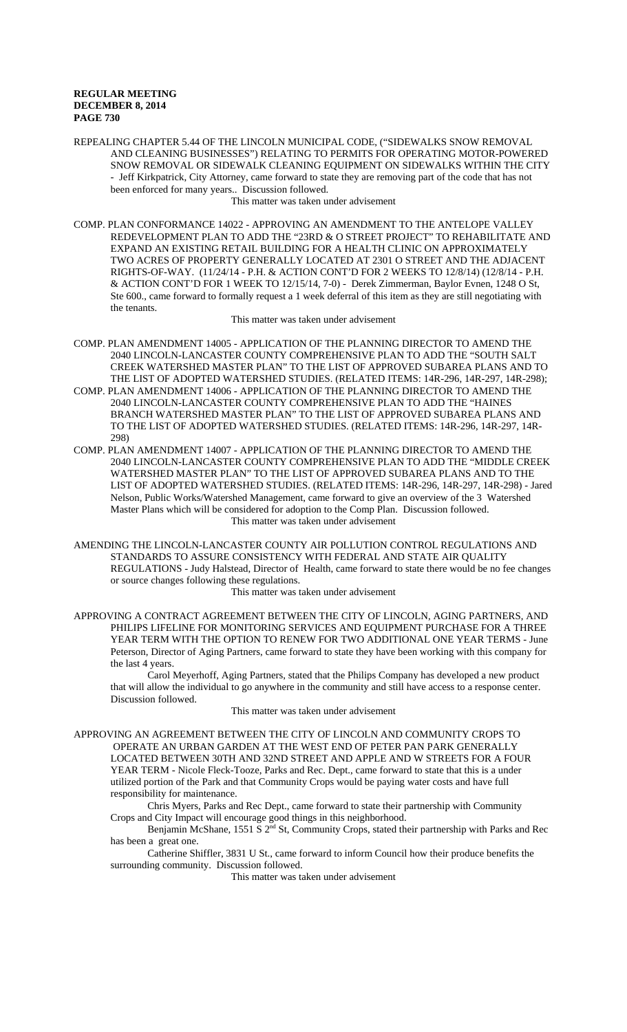REPEALING CHAPTER 5.44 OF THE LINCOLN MUNICIPAL CODE, ("SIDEWALKS SNOW REMOVAL AND CLEANING BUSINESSES") RELATING TO PERMITS FOR OPERATING MOTOR-POWERED SNOW REMOVAL OR SIDEWALK CLEANING EQUIPMENT ON SIDEWALKS WITHIN THE CITY - Jeff Kirkpatrick, City Attorney, came forward to state they are removing part of the code that has not been enforced for many years.. Discussion followed.

This matter was taken under advisement

COMP. PLAN CONFORMANCE 14022 - APPROVING AN AMENDMENT TO THE ANTELOPE VALLEY REDEVELOPMENT PLAN TO ADD THE "23RD & O STREET PROJECT" TO REHABILITATE AND EXPAND AN EXISTING RETAIL BUILDING FOR A HEALTH CLINIC ON APPROXIMATELY TWO ACRES OF PROPERTY GENERALLY LOCATED AT 2301 O STREET AND THE ADJACENT RIGHTS-OF-WAY. (11/24/14 - P.H. & ACTION CONT'D FOR 2 WEEKS TO 12/8/14) (12/8/14 - P.H. & ACTION CONT'D FOR 1 WEEK TO 12/15/14, 7-0) - Derek Zimmerman, Baylor Evnen, 1248 O St, Ste 600., came forward to formally request a 1 week deferral of this item as they are still negotiating with the tenants.

This matter was taken under advisement

- COMP. PLAN AMENDMENT 14005 APPLICATION OF THE PLANNING DIRECTOR TO AMEND THE 2040 LINCOLN-LANCASTER COUNTY COMPREHENSIVE PLAN TO ADD THE "SOUTH SALT CREEK WATERSHED MASTER PLAN" TO THE LIST OF APPROVED SUBAREA PLANS AND TO THE LIST OF ADOPTED WATERSHED STUDIES. (RELATED ITEMS: 14R-296, 14R-297, 14R-298);
- COMP. PLAN AMENDMENT 14006 APPLICATION OF THE PLANNING DIRECTOR TO AMEND THE 2040 LINCOLN-LANCASTER COUNTY COMPREHENSIVE PLAN TO ADD THE "HAINES BRANCH WATERSHED MASTER PLAN" TO THE LIST OF APPROVED SUBAREA PLANS AND TO THE LIST OF ADOPTED WATERSHED STUDIES. (RELATED ITEMS: 14R-296, 14R-297, 14R-298)
- COMP. PLAN AMENDMENT 14007 APPLICATION OF THE PLANNING DIRECTOR TO AMEND THE 2040 LINCOLN-LANCASTER COUNTY COMPREHENSIVE PLAN TO ADD THE "MIDDLE CREEK WATERSHED MASTER PLAN" TO THE LIST OF APPROVED SUBAREA PLANS AND TO THE LIST OF ADOPTED WATERSHED STUDIES. (RELATED ITEMS: 14R-296, 14R-297, 14R-298) - Jared Nelson, Public Works/Watershed Management, came forward to give an overview of the 3 Watershed Master Plans which will be considered for adoption to the Comp Plan. Discussion followed. This matter was taken under advisement
- AMENDING THE LINCOLN-LANCASTER COUNTY AIR POLLUTION CONTROL REGULATIONS AND STANDARDS TO ASSURE CONSISTENCY WITH FEDERAL AND STATE AIR QUALITY REGULATIONS - Judy Halstead, Director of Health, came forward to state there would be no fee changes or source changes following these regulations.

# This matter was taken under advisement

APPROVING A CONTRACT AGREEMENT BETWEEN THE CITY OF LINCOLN, AGING PARTNERS, AND PHILIPS LIFELINE FOR MONITORING SERVICES AND EQUIPMENT PURCHASE FOR A THREE YEAR TERM WITH THE OPTION TO RENEW FOR TWO ADDITIONAL ONE YEAR TERMS - June Peterson, Director of Aging Partners, came forward to state they have been working with this company for the last 4 years.

Carol Meyerhoff, Aging Partners, stated that the Philips Company has developed a new product that will allow the individual to go anywhere in the community and still have access to a response center. Discussion followed.

This matter was taken under advisement

APPROVING AN AGREEMENT BETWEEN THE CITY OF LINCOLN AND COMMUNITY CROPS TO OPERATE AN URBAN GARDEN AT THE WEST END OF PETER PAN PARK GENERALLY LOCATED BETWEEN 30TH AND 32ND STREET AND APPLE AND W STREETS FOR A FOUR YEAR TERM - Nicole Fleck-Tooze, Parks and Rec. Dept., came forward to state that this is a under utilized portion of the Park and that Community Crops would be paying water costs and have full responsibility for maintenance.

Chris Myers, Parks and Rec Dept., came forward to state their partnership with Community Crops and City Impact will encourage good things in this neighborhood.

Benjamin McShane, 1551 S 2<sup>nd</sup> St, Community Crops, stated their partnership with Parks and Rec has been a great one.

Catherine Shiffler, 3831 U St., came forward to inform Council how their produce benefits the surrounding community. Discussion followed.

This matter was taken under advisement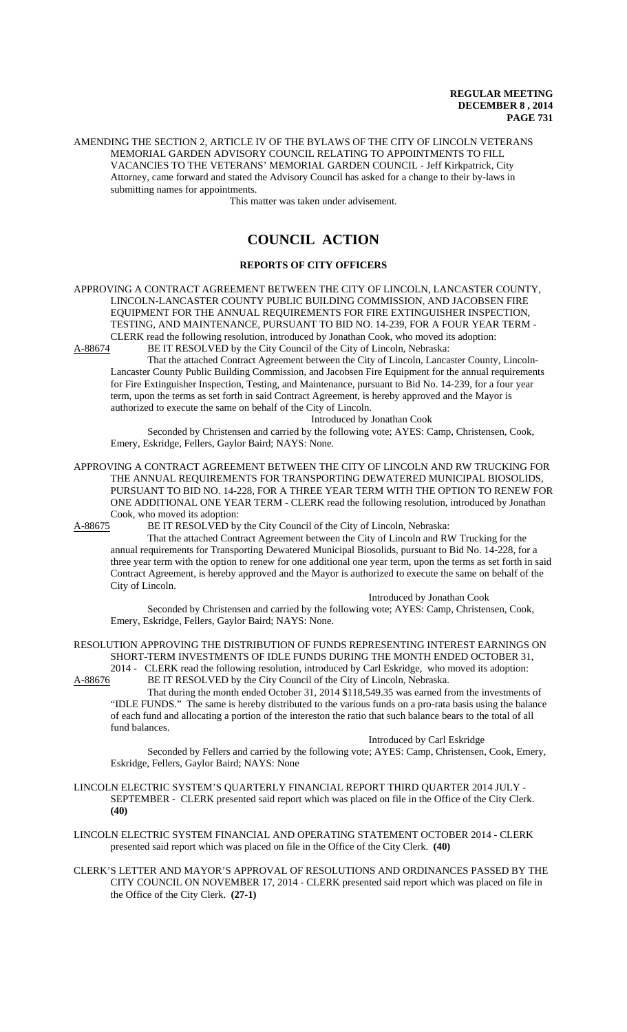AMENDING THE SECTION 2, ARTICLE IV OF THE BYLAWS OF THE CITY OF LINCOLN VETERANS MEMORIAL GARDEN ADVISORY COUNCIL RELATING TO APPOINTMENTS TO FILL VACANCIES TO THE VETERANS' MEMORIAL GARDEN COUNCIL - Jeff Kirkpatrick, City Attorney, came forward and stated the Advisory Council has asked for a change to their by-laws in submitting names for appointments.

This matter was taken under advisement.

# **COUNCIL ACTION**

# **REPORTS OF CITY OFFICERS**

APPROVING A CONTRACT AGREEMENT BETWEEN THE CITY OF LINCOLN, LANCASTER COUNTY, LINCOLN-LANCASTER COUNTY PUBLIC BUILDING COMMISSION, AND JACOBSEN FIRE EQUIPMENT FOR THE ANNUAL REQUIREMENTS FOR FIRE EXTINGUISHER INSPECTION, TESTING, AND MAINTENANCE, PURSUANT TO BID NO. 14-239, FOR A FOUR YEAR TERM - CLERK read the following resolution, introduced by Jonathan Cook, who moved its adoption:<br>A-88674 BE IT RESOLVED by the City Council of the City of Lincoln, Nebraska: BE IT RESOLVED by the City Council of the City of Lincoln, Nebraska:

That the attached Contract Agreement between the City of Lincoln, Lancaster County, Lincoln-

Lancaster County Public Building Commission, and Jacobsen Fire Equipment for the annual requirements for Fire Extinguisher Inspection, Testing, and Maintenance, pursuant to Bid No. 14-239, for a four year term, upon the terms as set forth in said Contract Agreement, is hereby approved and the Mayor is authorized to execute the same on behalf of the City of Lincoln.

Introduced by Jonathan Cook

Seconded by Christensen and carried by the following vote; AYES: Camp, Christensen, Cook, Emery, Eskridge, Fellers, Gaylor Baird; NAYS: None.

APPROVING A CONTRACT AGREEMENT BETWEEN THE CITY OF LINCOLN AND RW TRUCKING FOR THE ANNUAL REQUIREMENTS FOR TRANSPORTING DEWATERED MUNICIPAL BIOSOLIDS, PURSUANT TO BID NO. 14-228, FOR A THREE YEAR TERM WITH THE OPTION TO RENEW FOR ONE ADDITIONAL ONE YEAR TERM - CLERK read the following resolution, introduced by Jonathan Cook, who moved its adoption:

A-88675 BE IT RESOLVED by the City Council of the City of Lincoln, Nebraska:

That the attached Contract Agreement between the City of Lincoln and RW Trucking for the annual requirements for Transporting Dewatered Municipal Biosolids, pursuant to Bid No. 14-228, for a three year term with the option to renew for one additional one year term, upon the terms as set forth in said Contract Agreement, is hereby approved and the Mayor is authorized to execute the same on behalf of the City of Lincoln.

Introduced by Jonathan Cook

Seconded by Christensen and carried by the following vote; AYES: Camp, Christensen, Cook, Emery, Eskridge, Fellers, Gaylor Baird; NAYS: None.

RESOLUTION APPROVING THE DISTRIBUTION OF FUNDS REPRESENTING INTEREST EARNINGS ON SHORT-TERM INVESTMENTS OF IDLE FUNDS DURING THE MONTH ENDED OCTOBER 31, 2014 - CLERK read the following resolution, introduced by Carl Eskridge, who moved its adoption:

A-88676 BE IT RESOLVED by the City Council of the City of Lincoln, Nebraska.

That during the month ended October 31, 2014 \$118,549.35 was earned from the investments of "IDLE FUNDS." The same is hereby distributed to the various funds on a pro-rata basis using the balance of each fund and allocating a portion of the intereston the ratio that such balance bears to the total of all fund balances.

Introduced by Carl Eskridge

Seconded by Fellers and carried by the following vote; AYES: Camp, Christensen, Cook, Emery, Eskridge, Fellers, Gaylor Baird; NAYS: None

- LINCOLN ELECTRIC SYSTEM'S QUARTERLY FINANCIAL REPORT THIRD QUARTER 2014 JULY SEPTEMBER - CLERK presented said report which was placed on file in the Office of the City Clerk. **(40)**
- LINCOLN ELECTRIC SYSTEM FINANCIAL AND OPERATING STATEMENT OCTOBER 2014 CLERK presented said report which was placed on file in the Office of the City Clerk. **(40)**
- CLERK'S LETTER AND MAYOR'S APPROVAL OF RESOLUTIONS AND ORDINANCES PASSED BY THE CITY COUNCIL ON NOVEMBER 17, 2014 - CLERK presented said report which was placed on file in the Office of the City Clerk. **(27-1)**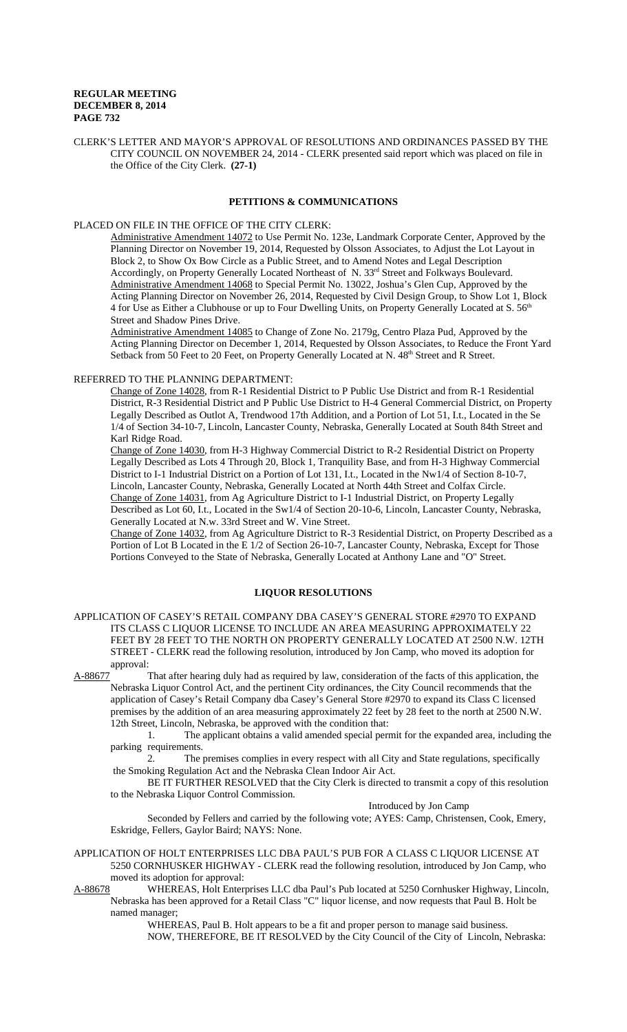CLERK'S LETTER AND MAYOR'S APPROVAL OF RESOLUTIONS AND ORDINANCES PASSED BY THE CITY COUNCIL ON NOVEMBER 24, 2014 - CLERK presented said report which was placed on file in the Office of the City Clerk. **(27-1)**

# **PETITIONS & COMMUNICATIONS**

### PLACED ON FILE IN THE OFFICE OF THE CITY CLERK:

Administrative Amendment 14072 to Use Permit No. 123e, Landmark Corporate Center, Approved by the Planning Director on November 19, 2014, Requested by Olsson Associates, to Adjust the Lot Layout in Block 2, to Show Ox Bow Circle as a Public Street, and to Amend Notes and Legal Description Accordingly, on Property Generally Located Northeast of N. 33<sup>rd</sup> Street and Folkways Boulevard. Administrative Amendment 14068 to Special Permit No. 13022, Joshua's Glen Cup, Approved by the Acting Planning Director on November 26, 2014, Requested by Civil Design Group, to Show Lot 1, Block 4 for Use as Either a Clubhouse or up to Four Dwelling Units, on Property Generally Located at S. 56<sup>th</sup> Street and Shadow Pines Drive.

Administrative Amendment 14085 to Change of Zone No. 2179g, Centro Plaza Pud, Approved by the Acting Planning Director on December 1, 2014, Requested by Olsson Associates, to Reduce the Front Yard Setback from 50 Feet to 20 Feet, on Property Generally Located at N. 48<sup>th</sup> Street and R Street.

#### REFERRED TO THE PLANNING DEPARTMENT:

Change of Zone 14028, from R-1 Residential District to P Public Use District and from R-1 Residential District, R-3 Residential District and P Public Use District to H-4 General Commercial District, on Property Legally Described as Outlot A, Trendwood 17th Addition, and a Portion of Lot 51, I.t., Located in the Se 1/4 of Section 34-10-7, Lincoln, Lancaster County, Nebraska, Generally Located at South 84th Street and Karl Ridge Road.

Change of Zone 14030, from H-3 Highway Commercial District to R-2 Residential District on Property Legally Described as Lots 4 Through 20, Block 1, Tranquility Base, and from H-3 Highway Commercial District to I-1 Industrial District on a Portion of Lot 131, I.t., Located in the Nw1/4 of Section 8-10-7, Lincoln, Lancaster County, Nebraska, Generally Located at North 44th Street and Colfax Circle. Change of Zone 14031, from Ag Agriculture District to I-1 Industrial District, on Property Legally Described as Lot 60, I.t., Located in the Sw1/4 of Section 20-10-6, Lincoln, Lancaster County, Nebraska, Generally Located at N.w. 33rd Street and W. Vine Street.

Change of Zone 14032, from Ag Agriculture District to R-3 Residential District, on Property Described as a Portion of Lot B Located in the E 1/2 of Section 26-10-7, Lancaster County, Nebraska, Except for Those Portions Conveyed to the State of Nebraska, Generally Located at Anthony Lane and "O" Street.

# **LIQUOR RESOLUTIONS**

APPLICATION OF CASEY'S RETAIL COMPANY DBA CASEY'S GENERAL STORE #2970 TO EXPAND ITS CLASS C LIQUOR LICENSE TO INCLUDE AN AREA MEASURING APPROXIMATELY 22 FEET BY 28 FEET TO THE NORTH ON PROPERTY GENERALLY LOCATED AT 2500 N.W. 12TH STREET - CLERK read the following resolution, introduced by Jon Camp, who moved its adoption for approval:

A-88677 That after hearing duly had as required by law, consideration of the facts of this application, the Nebraska Liquor Control Act, and the pertinent City ordinances, the City Council recommends that the application of Casey's Retail Company dba Casey's General Store #2970 to expand its Class C licensed premises by the addition of an area measuring approximately 22 feet by 28 feet to the north at 2500 N.W. 12th Street, Lincoln, Nebraska, be approved with the condition that:

1. The applicant obtains a valid amended special permit for the expanded area, including the parking requirements.

2. The premises complies in every respect with all City and State regulations, specifically the Smoking Regulation Act and the Nebraska Clean Indoor Air Act.

BE IT FURTHER RESOLVED that the City Clerk is directed to transmit a copy of this resolution to the Nebraska Liquor Control Commission.

Introduced by Jon Camp

Seconded by Fellers and carried by the following vote; AYES: Camp, Christensen, Cook, Emery, Eskridge, Fellers, Gaylor Baird; NAYS: None.

APPLICATION OF HOLT ENTERPRISES LLC DBA PAUL'S PUB FOR A CLASS C LIQUOR LICENSE AT 5250 CORNHUSKER HIGHWAY - CLERK read the following resolution, introduced by Jon Camp, who moved its adoption for approval:

A-88678 WHEREAS, Holt Enterprises LLC dba Paul's Pub located at 5250 Cornhusker Highway, Lincoln, Nebraska has been approved for a Retail Class "C" liquor license, and now requests that Paul B. Holt be named manager;

> WHEREAS, Paul B. Holt appears to be a fit and proper person to manage said business. NOW, THEREFORE, BE IT RESOLVED by the City Council of the City of Lincoln, Nebraska: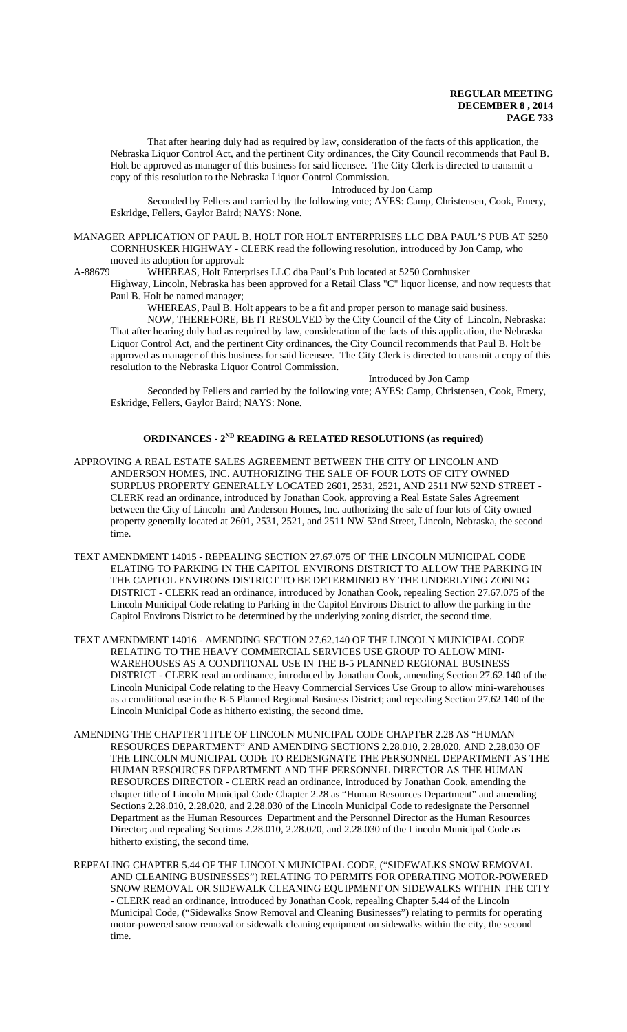That after hearing duly had as required by law, consideration of the facts of this application, the Nebraska Liquor Control Act, and the pertinent City ordinances, the City Council recommends that Paul B. Holt be approved as manager of this business for said licensee. The City Clerk is directed to transmit a copy of this resolution to the Nebraska Liquor Control Commission.

Introduced by Jon Camp

Seconded by Fellers and carried by the following vote; AYES: Camp, Christensen, Cook, Emery, Eskridge, Fellers, Gaylor Baird; NAYS: None.

MANAGER APPLICATION OF PAUL B. HOLT FOR HOLT ENTERPRISES LLC DBA PAUL'S PUB AT 5250 CORNHUSKER HIGHWAY - CLERK read the following resolution, introduced by Jon Camp, who moved its adoption for approval:<br>A-88679 WHEREAS, Holt Entern

WHEREAS, Holt Enterprises LLC dba Paul's Pub located at 5250 Cornhusker

Highway, Lincoln, Nebraska has been approved for a Retail Class "C" liquor license, and now requests that Paul B. Holt be named manager;

WHEREAS, Paul B. Holt appears to be a fit and proper person to manage said business.

NOW, THEREFORE, BE IT RESOLVED by the City Council of the City of Lincoln, Nebraska: That after hearing duly had as required by law, consideration of the facts of this application, the Nebraska Liquor Control Act, and the pertinent City ordinances, the City Council recommends that Paul B. Holt be approved as manager of this business for said licensee. The City Clerk is directed to transmit a copy of this resolution to the Nebraska Liquor Control Commission.

Introduced by Jon Camp

Seconded by Fellers and carried by the following vote; AYES: Camp, Christensen, Cook, Emery, Eskridge, Fellers, Gaylor Baird; NAYS: None.

# **ORDINANCES - 2ND READING & RELATED RESOLUTIONS (as required)**

- APPROVING A REAL ESTATE SALES AGREEMENT BETWEEN THE CITY OF LINCOLN AND ANDERSON HOMES, INC. AUTHORIZING THE SALE OF FOUR LOTS OF CITY OWNED SURPLUS PROPERTY GENERALLY LOCATED 2601, 2531, 2521, AND 2511 NW 52ND STREET - CLERK read an ordinance, introduced by Jonathan Cook, approving a Real Estate Sales Agreement between the City of Lincoln and Anderson Homes, Inc. authorizing the sale of four lots of City owned property generally located at 2601, 2531, 2521, and 2511 NW 52nd Street, Lincoln, Nebraska, the second time.
- TEXT AMENDMENT 14015 REPEALING SECTION 27.67.075 OF THE LINCOLN MUNICIPAL CODE ELATING TO PARKING IN THE CAPITOL ENVIRONS DISTRICT TO ALLOW THE PARKING IN THE CAPITOL ENVIRONS DISTRICT TO BE DETERMINED BY THE UNDERLYING ZONING DISTRICT - CLERK read an ordinance, introduced by Jonathan Cook, repealing Section 27.67.075 of the Lincoln Municipal Code relating to Parking in the Capitol Environs District to allow the parking in the Capitol Environs District to be determined by the underlying zoning district, the second time.
- TEXT AMENDMENT 14016 AMENDING SECTION 27.62.140 OF THE LINCOLN MUNICIPAL CODE RELATING TO THE HEAVY COMMERCIAL SERVICES USE GROUP TO ALLOW MINI-WAREHOUSES AS A CONDITIONAL USE IN THE B-5 PLANNED REGIONAL BUSINESS DISTRICT - CLERK read an ordinance, introduced by Jonathan Cook, amending Section 27.62.140 of the Lincoln Municipal Code relating to the Heavy Commercial Services Use Group to allow mini-warehouses as a conditional use in the B-5 Planned Regional Business District; and repealing Section 27.62.140 of the Lincoln Municipal Code as hitherto existing, the second time.
- AMENDING THE CHAPTER TITLE OF LINCOLN MUNICIPAL CODE CHAPTER 2.28 AS "HUMAN RESOURCES DEPARTMENT" AND AMENDING SECTIONS 2.28.010, 2.28.020, AND 2.28.030 OF THE LINCOLN MUNICIPAL CODE TO REDESIGNATE THE PERSONNEL DEPARTMENT AS THE HUMAN RESOURCES DEPARTMENT AND THE PERSONNEL DIRECTOR AS THE HUMAN RESOURCES DIRECTOR - CLERK read an ordinance, introduced by Jonathan Cook, amending the chapter title of Lincoln Municipal Code Chapter 2.28 as "Human Resources Department" and amending Sections 2.28.010, 2.28.020, and 2.28.030 of the Lincoln Municipal Code to redesignate the Personnel Department as the Human Resources Department and the Personnel Director as the Human Resources Director; and repealing Sections 2.28.010, 2.28.020, and 2.28.030 of the Lincoln Municipal Code as hitherto existing, the second time.
- REPEALING CHAPTER 5.44 OF THE LINCOLN MUNICIPAL CODE, ("SIDEWALKS SNOW REMOVAL AND CLEANING BUSINESSES") RELATING TO PERMITS FOR OPERATING MOTOR-POWERED SNOW REMOVAL OR SIDEWALK CLEANING EQUIPMENT ON SIDEWALKS WITHIN THE CITY - CLERK read an ordinance, introduced by Jonathan Cook, repealing Chapter 5.44 of the Lincoln Municipal Code, ("Sidewalks Snow Removal and Cleaning Businesses") relating to permits for operating motor-powered snow removal or sidewalk cleaning equipment on sidewalks within the city, the second time.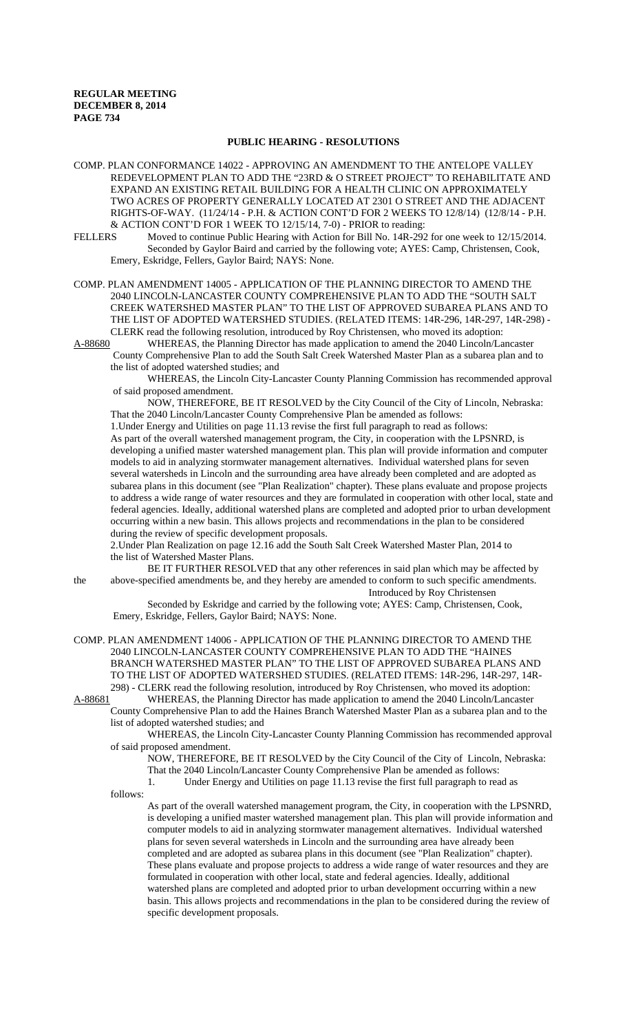### **PUBLIC HEARING - RESOLUTIONS**

COMP. PLAN CONFORMANCE 14022 - APPROVING AN AMENDMENT TO THE ANTELOPE VALLEY REDEVELOPMENT PLAN TO ADD THE "23RD & O STREET PROJECT" TO REHABILITATE AND EXPAND AN EXISTING RETAIL BUILDING FOR A HEALTH CLINIC ON APPROXIMATELY TWO ACRES OF PROPERTY GENERALLY LOCATED AT 2301 O STREET AND THE ADJACENT RIGHTS-OF-WAY. (11/24/14 - P.H. & ACTION CONT'D FOR 2 WEEKS TO 12/8/14) (12/8/14 - P.H. & ACTION CONT'D FOR 1 WEEK TO 12/15/14, 7-0) - PRIOR to reading:

FELLERS Moved to continue Public Hearing with Action for Bill No. 14R-292 for one week to 12/15/2014. Seconded by Gaylor Baird and carried by the following vote; AYES: Camp, Christensen, Cook, Emery, Eskridge, Fellers, Gaylor Baird; NAYS: None.

COMP. PLAN AMENDMENT 14005 - APPLICATION OF THE PLANNING DIRECTOR TO AMEND THE 2040 LINCOLN-LANCASTER COUNTY COMPREHENSIVE PLAN TO ADD THE "SOUTH SALT CREEK WATERSHED MASTER PLAN" TO THE LIST OF APPROVED SUBAREA PLANS AND TO THE LIST OF ADOPTED WATERSHED STUDIES. (RELATED ITEMS: 14R-296, 14R-297, 14R-298) - CLERK read the following resolution, introduced by Roy Christensen, who moved its adoption:

A-88680 WHEREAS, the Planning Director has made application to amend the 2040 Lincoln/Lancaster County Comprehensive Plan to add the South Salt Creek Watershed Master Plan as a subarea plan and to

the list of adopted watershed studies; and

WHEREAS, the Lincoln City-Lancaster County Planning Commission has recommended approval of said proposed amendment.

NOW, THEREFORE, BE IT RESOLVED by the City Council of the City of Lincoln, Nebraska: That the 2040 Lincoln/Lancaster County Comprehensive Plan be amended as follows:

1.Under Energy and Utilities on page 11.13 revise the first full paragraph to read as follows: As part of the overall watershed management program, the City, in cooperation with the LPSNRD, is developing a unified master watershed management plan. This plan will provide information and computer models to aid in analyzing stormwater management alternatives. Individual watershed plans for seven several watersheds in Lincoln and the surrounding area have already been completed and are adopted as subarea plans in this document (see "Plan Realization" chapter). These plans evaluate and propose projects to address a wide range of water resources and they are formulated in cooperation with other local, state and federal agencies. Ideally, additional watershed plans are completed and adopted prior to urban development occurring within a new basin. This allows projects and recommendations in the plan to be considered during the review of specific development proposals.

2.Under Plan Realization on page 12.16 add the South Salt Creek Watershed Master Plan, 2014 to the list of Watershed Master Plans.

 BE IT FURTHER RESOLVED that any other references in said plan which may be affected by the above-specified amendments be, and they hereby are amended to conform to such specific amendments.

Introduced by Roy Christensen Seconded by Eskridge and carried by the following vote; AYES: Camp, Christensen, Cook, Emery, Eskridge, Fellers, Gaylor Baird; NAYS: None.

COMP. PLAN AMENDMENT 14006 - APPLICATION OF THE PLANNING DIRECTOR TO AMEND THE

2040 LINCOLN-LANCASTER COUNTY COMPREHENSIVE PLAN TO ADD THE "HAINES BRANCH WATERSHED MASTER PLAN" TO THE LIST OF APPROVED SUBAREA PLANS AND TO THE LIST OF ADOPTED WATERSHED STUDIES. (RELATED ITEMS: 14R-296, 14R-297, 14R-298) - CLERK read the following resolution, introduced by Roy Christensen, who moved its adoption:<br>A-88681 WHEREAS, the Planning Director has made application to amend the 2040 Lincoln/Lancaster WHEREAS, the Planning Director has made application to amend the 2040 Lincoln/Lancaster

County Comprehensive Plan to add the Haines Branch Watershed Master Plan as a subarea plan and to the list of adopted watershed studies; and

WHEREAS, the Lincoln City-Lancaster County Planning Commission has recommended approval of said proposed amendment.

NOW, THEREFORE, BE IT RESOLVED by the City Council of the City of Lincoln, Nebraska: That the 2040 Lincoln/Lancaster County Comprehensive Plan be amended as follows:

1. Under Energy and Utilities on page 11.13 revise the first full paragraph to read as

follows:

As part of the overall watershed management program, the City, in cooperation with the LPSNRD, is developing a unified master watershed management plan. This plan will provide information and computer models to aid in analyzing stormwater management alternatives. Individual watershed plans for seven several watersheds in Lincoln and the surrounding area have already been completed and are adopted as subarea plans in this document (see "Plan Realization" chapter). These plans evaluate and propose projects to address a wide range of water resources and they are formulated in cooperation with other local, state and federal agencies. Ideally, additional watershed plans are completed and adopted prior to urban development occurring within a new basin. This allows projects and recommendations in the plan to be considered during the review of specific development proposals.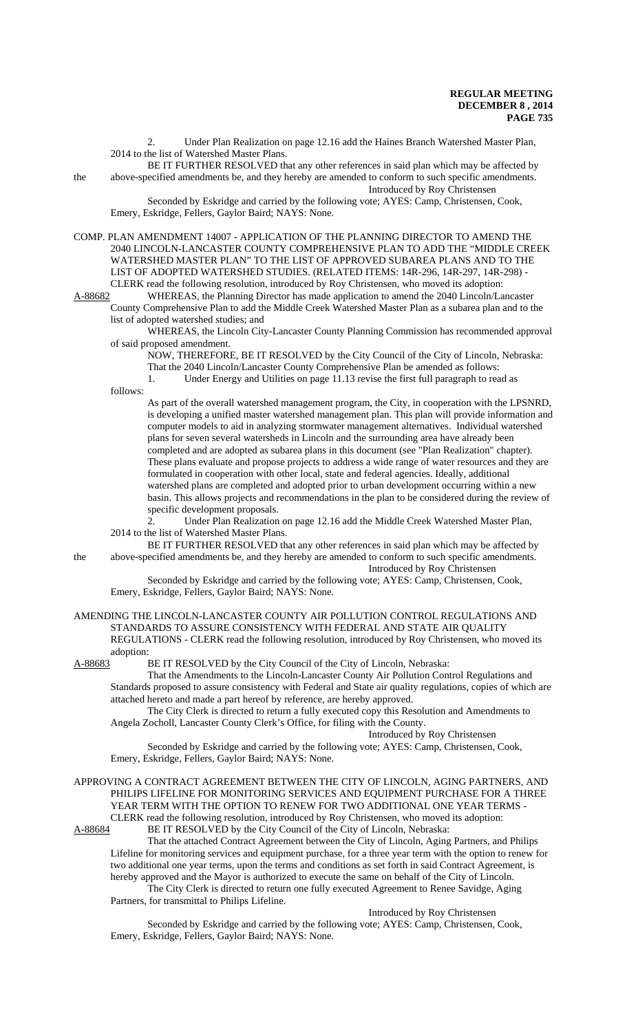2. Under Plan Realization on page 12.16 add the Haines Branch Watershed Master Plan, 2014 to the list of Watershed Master Plans.

 BE IT FURTHER RESOLVED that any other references in said plan which may be affected by the above-specified amendments be, and they hereby are amended to conform to such specific amendments. Introduced by Roy Christensen

Seconded by Eskridge and carried by the following vote; AYES: Camp, Christensen, Cook, Emery, Eskridge, Fellers, Gaylor Baird; NAYS: None.

COMP. PLAN AMENDMENT 14007 - APPLICATION OF THE PLANNING DIRECTOR TO AMEND THE 2040 LINCOLN-LANCASTER COUNTY COMPREHENSIVE PLAN TO ADD THE "MIDDLE CREEK WATERSHED MASTER PLAN" TO THE LIST OF APPROVED SUBAREA PLANS AND TO THE LIST OF ADOPTED WATERSHED STUDIES. (RELATED ITEMS: 14R-296, 14R-297, 14R-298) - CLERK read the following resolution, introduced by Roy Christensen, who moved its adoption:

A-88682 WHEREAS, the Planning Director has made application to amend the 2040 Lincoln/Lancaster County Comprehensive Plan to add the Middle Creek Watershed Master Plan as a subarea plan and to the list of adopted watershed studies; and

WHEREAS, the Lincoln City-Lancaster County Planning Commission has recommended approval of said proposed amendment.

NOW, THEREFORE, BE IT RESOLVED by the City Council of the City of Lincoln, Nebraska:

That the 2040 Lincoln/Lancaster County Comprehensive Plan be amended as follows:

1. Under Energy and Utilities on page 11.13 revise the first full paragraph to read as follows:

As part of the overall watershed management program, the City, in cooperation with the LPSNRD, is developing a unified master watershed management plan. This plan will provide information and computer models to aid in analyzing stormwater management alternatives. Individual watershed plans for seven several watersheds in Lincoln and the surrounding area have already been completed and are adopted as subarea plans in this document (see "Plan Realization" chapter). These plans evaluate and propose projects to address a wide range of water resources and they are formulated in cooperation with other local, state and federal agencies. Ideally, additional watershed plans are completed and adopted prior to urban development occurring within a new basin. This allows projects and recommendations in the plan to be considered during the review of specific development proposals.

2. Under Plan Realization on page 12.16 add the Middle Creek Watershed Master Plan, 2014 to the list of Watershed Master Plans.

BE IT FURTHER RESOLVED that any other references in said plan which may be affected by the above-specified amendments be, and they hereby are amended to conform to such specific amendments. Introduced by Roy Christensen

Seconded by Eskridge and carried by the following vote; AYES: Camp, Christensen, Cook, Emery, Eskridge, Fellers, Gaylor Baird; NAYS: None.

#### AMENDING THE LINCOLN-LANCASTER COUNTY AIR POLLUTION CONTROL REGULATIONS AND STANDARDS TO ASSURE CONSISTENCY WITH FEDERAL AND STATE AIR QUALITY REGULATIONS - CLERK read the following resolution, introduced by Roy Christensen, who moved its adoption:

A-88683 BE IT RESOLVED by the City Council of the City of Lincoln, Nebraska:

That the Amendments to the Lincoln-Lancaster County Air Pollution Control Regulations and Standards proposed to assure consistency with Federal and State air quality regulations, copies of which are attached hereto and made a part hereof by reference, are hereby approved.

The City Clerk is directed to return a fully executed copy this Resolution and Amendments to Angela Zocholl, Lancaster County Clerk's Office, for filing with the County.

Introduced by Roy Christensen

Seconded by Eskridge and carried by the following vote; AYES: Camp, Christensen, Cook, Emery, Eskridge, Fellers, Gaylor Baird; NAYS: None.

APPROVING A CONTRACT AGREEMENT BETWEEN THE CITY OF LINCOLN, AGING PARTNERS, AND PHILIPS LIFELINE FOR MONITORING SERVICES AND EQUIPMENT PURCHASE FOR A THREE YEAR TERM WITH THE OPTION TO RENEW FOR TWO ADDITIONAL ONE YEAR TERMS - CLERK read the following resolution, introduced by Roy Christensen, who moved its adoption:

A-88684 BE IT RESOLVED by the City Council of the City of Lincoln, Nebraska:

That the attached Contract Agreement between the City of Lincoln, Aging Partners, and Philips Lifeline for monitoring services and equipment purchase, for a three year term with the option to renew for two additional one year terms, upon the terms and conditions as set forth in said Contract Agreement, is hereby approved and the Mayor is authorized to execute the same on behalf of the City of Lincoln. The City Clerk is directed to return one fully executed Agreement to Renee Savidge, Aging

Partners, for transmittal to Philips Lifeline.

Introduced by Roy Christensen

Seconded by Eskridge and carried by the following vote; AYES: Camp, Christensen, Cook, Emery, Eskridge, Fellers, Gaylor Baird; NAYS: None.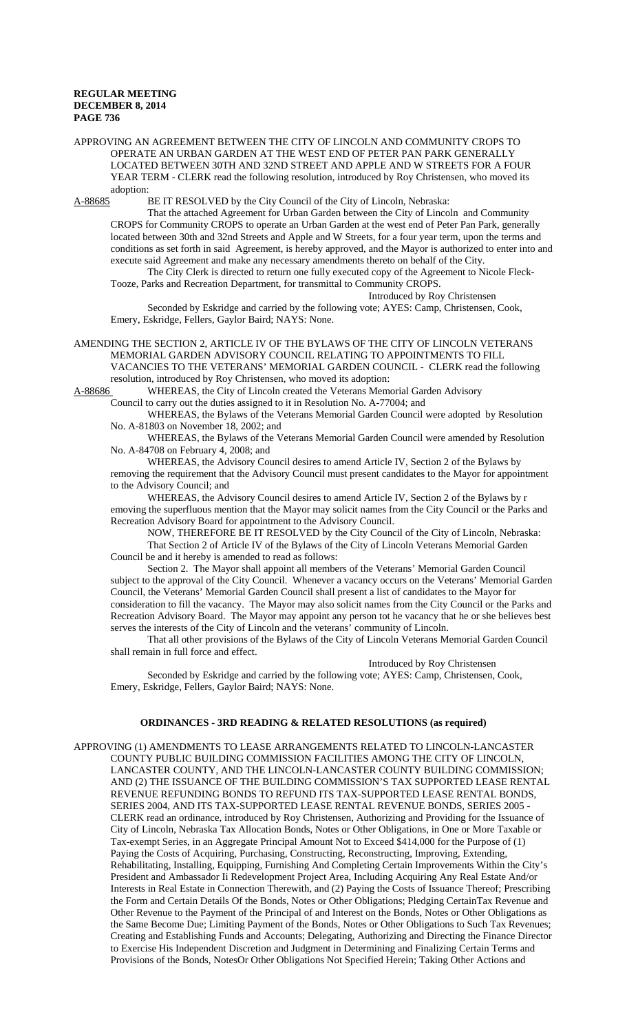APPROVING AN AGREEMENT BETWEEN THE CITY OF LINCOLN AND COMMUNITY CROPS TO OPERATE AN URBAN GARDEN AT THE WEST END OF PETER PAN PARK GENERALLY LOCATED BETWEEN 30TH AND 32ND STREET AND APPLE AND W STREETS FOR A FOUR YEAR TERM - CLERK read the following resolution, introduced by Roy Christensen, who moved its adoption:<br>A-88685 l

BE IT RESOLVED by the City Council of the City of Lincoln, Nebraska:

That the attached Agreement for Urban Garden between the City of Lincoln and Community CROPS for Community CROPS to operate an Urban Garden at the west end of Peter Pan Park, generally located between 30th and 32nd Streets and Apple and W Streets, for a four year term, upon the terms and conditions as set forth in said Agreement, is hereby approved, and the Mayor is authorized to enter into and execute said Agreement and make any necessary amendments thereto on behalf of the City.

The City Clerk is directed to return one fully executed copy of the Agreement to Nicole Fleck-Tooze, Parks and Recreation Department, for transmittal to Community CROPS.

Introduced by Roy Christensen Seconded by Eskridge and carried by the following vote; AYES: Camp, Christensen, Cook, Emery, Eskridge, Fellers, Gaylor Baird; NAYS: None.

AMENDING THE SECTION 2, ARTICLE IV OF THE BYLAWS OF THE CITY OF LINCOLN VETERANS MEMORIAL GARDEN ADVISORY COUNCIL RELATING TO APPOINTMENTS TO FILL VACANCIES TO THE VETERANS' MEMORIAL GARDEN COUNCIL - CLERK read the following resolution, introduced by Roy Christensen, who moved its adoption:

A-88686 WHEREAS, the City of Lincoln created the Veterans Memorial Garden Advisory Council to carry out the duties assigned to it in Resolution No. A-77004; and

WHEREAS, the Bylaws of the Veterans Memorial Garden Council were adopted by Resolution No. A-81803 on November 18, 2002; and

WHEREAS, the Bylaws of the Veterans Memorial Garden Council were amended by Resolution No. A-84708 on February 4, 2008; and

WHEREAS, the Advisory Council desires to amend Article IV, Section 2 of the Bylaws by removing the requirement that the Advisory Council must present candidates to the Mayor for appointment to the Advisory Council; and

WHEREAS, the Advisory Council desires to amend Article IV, Section 2 of the Bylaws by r emoving the superfluous mention that the Mayor may solicit names from the City Council or the Parks and Recreation Advisory Board for appointment to the Advisory Council.

NOW, THEREFORE BE IT RESOLVED by the City Council of the City of Lincoln, Nebraska: That Section 2 of Article IV of the Bylaws of the City of Lincoln Veterans Memorial Garden Council be and it hereby is amended to read as follows:

Section 2. The Mayor shall appoint all members of the Veterans' Memorial Garden Council subject to the approval of the City Council. Whenever a vacancy occurs on the Veterans' Memorial Garden Council, the Veterans' Memorial Garden Council shall present a list of candidates to the Mayor for consideration to fill the vacancy. The Mayor may also solicit names from the City Council or the Parks and Recreation Advisory Board. The Mayor may appoint any person tot he vacancy that he or she believes best serves the interests of the City of Lincoln and the veterans' community of Lincoln.

That all other provisions of the Bylaws of the City of Lincoln Veterans Memorial Garden Council shall remain in full force and effect.

Introduced by Roy Christensen

Seconded by Eskridge and carried by the following vote; AYES: Camp, Christensen, Cook, Emery, Eskridge, Fellers, Gaylor Baird; NAYS: None.

### **ORDINANCES - 3RD READING & RELATED RESOLUTIONS (as required)**

APPROVING (1) AMENDMENTS TO LEASE ARRANGEMENTS RELATED TO LINCOLN-LANCASTER COUNTY PUBLIC BUILDING COMMISSION FACILITIES AMONG THE CITY OF LINCOLN, LANCASTER COUNTY, AND THE LINCOLN-LANCASTER COUNTY BUILDING COMMISSION; AND (2) THE ISSUANCE OF THE BUILDING COMMISSION'S TAX SUPPORTED LEASE RENTAL REVENUE REFUNDING BONDS TO REFUND ITS TAX-SUPPORTED LEASE RENTAL BONDS, SERIES 2004, AND ITS TAX-SUPPORTED LEASE RENTAL REVENUE BONDS, SERIES 2005 - CLERK read an ordinance, introduced by Roy Christensen, Authorizing and Providing for the Issuance of City of Lincoln, Nebraska Tax Allocation Bonds, Notes or Other Obligations, in One or More Taxable or Tax-exempt Series, in an Aggregate Principal Amount Not to Exceed \$414,000 for the Purpose of (1) Paying the Costs of Acquiring, Purchasing, Constructing, Reconstructing, Improving, Extending, Rehabilitating, Installing, Equipping, Furnishing And Completing Certain Improvements Within the City's President and Ambassador Ii Redevelopment Project Area, Including Acquiring Any Real Estate And/or Interests in Real Estate in Connection Therewith, and (2) Paying the Costs of Issuance Thereof; Prescribing the Form and Certain Details Of the Bonds, Notes or Other Obligations; Pledging CertainTax Revenue and Other Revenue to the Payment of the Principal of and Interest on the Bonds, Notes or Other Obligations as the Same Become Due; Limiting Payment of the Bonds, Notes or Other Obligations to Such Tax Revenues; Creating and Establishing Funds and Accounts; Delegating, Authorizing and Directing the Finance Director to Exercise His Independent Discretion and Judgment in Determining and Finalizing Certain Terms and Provisions of the Bonds, NotesOr Other Obligations Not Specified Herein; Taking Other Actions and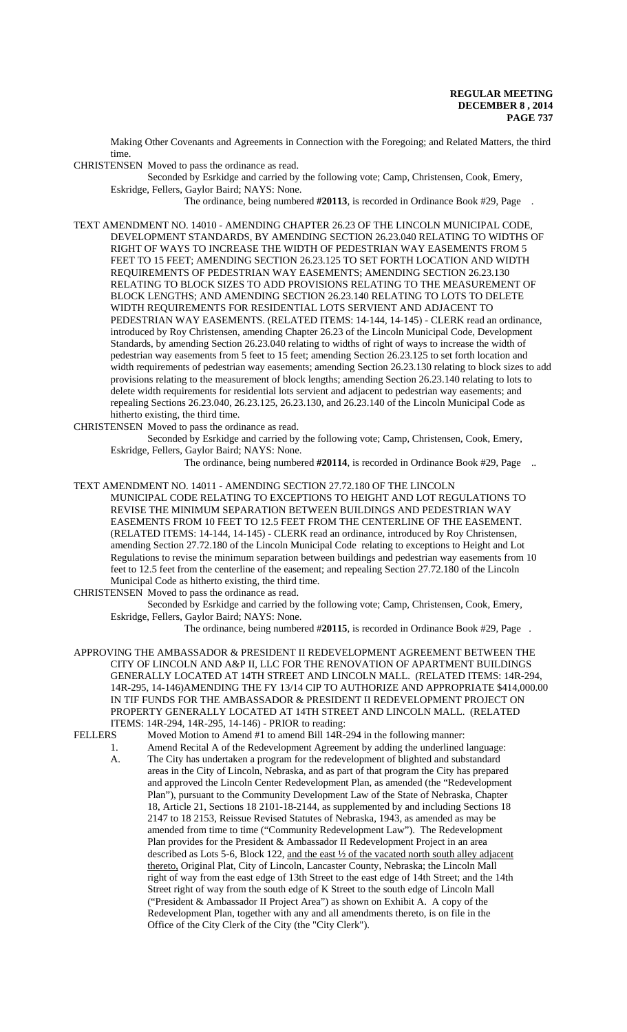Making Other Covenants and Agreements in Connection with the Foregoing; and Related Matters, the third time.

CHRISTENSEN Moved to pass the ordinance as read.

Seconded by Esrkidge and carried by the following vote; Camp, Christensen, Cook, Emery, Eskridge, Fellers, Gaylor Baird; NAYS: None.

The ordinance, being numbered **#20113**, is recorded in Ordinance Book #29, Page .

TEXT AMENDMENT NO. 14010 - AMENDING CHAPTER 26.23 OF THE LINCOLN MUNICIPAL CODE, DEVELOPMENT STANDARDS, BY AMENDING SECTION 26.23.040 RELATING TO WIDTHS OF RIGHT OF WAYS TO INCREASE THE WIDTH OF PEDESTRIAN WAY EASEMENTS FROM 5 FEET TO 15 FEET; AMENDING SECTION 26.23.125 TO SET FORTH LOCATION AND WIDTH REQUIREMENTS OF PEDESTRIAN WAY EASEMENTS; AMENDING SECTION 26.23.130 RELATING TO BLOCK SIZES TO ADD PROVISIONS RELATING TO THE MEASUREMENT OF BLOCK LENGTHS; AND AMENDING SECTION 26.23.140 RELATING TO LOTS TO DELETE WIDTH REQUIREMENTS FOR RESIDENTIAL LOTS SERVIENT AND ADJACENT TO PEDESTRIAN WAY EASEMENTS. (RELATED ITEMS: 14-144, 14-145) - CLERK read an ordinance, introduced by Roy Christensen, amending Chapter 26.23 of the Lincoln Municipal Code, Development Standards, by amending Section 26.23.040 relating to widths of right of ways to increase the width of pedestrian way easements from 5 feet to 15 feet; amending Section 26.23.125 to set forth location and width requirements of pedestrian way easements; amending Section 26.23.130 relating to block sizes to add provisions relating to the measurement of block lengths; amending Section 26.23.140 relating to lots to delete width requirements for residential lots servient and adjacent to pedestrian way easements; and repealing Sections 26.23.040, 26.23.125, 26.23.130, and 26.23.140 of the Lincoln Municipal Code as hitherto existing, the third time.

CHRISTENSEN Moved to pass the ordinance as read.

Seconded by Esrkidge and carried by the following vote; Camp, Christensen, Cook, Emery, Eskridge, Fellers, Gaylor Baird; NAYS: None.

The ordinance, being numbered #20114, is recorded in Ordinance Book #29, Page ...

TEXT AMENDMENT NO. 14011 - AMENDING SECTION 27.72.180 OF THE LINCOLN MUNICIPAL CODE RELATING TO EXCEPTIONS TO HEIGHT AND LOT REGULATIONS TO REVISE THE MINIMUM SEPARATION BETWEEN BUILDINGS AND PEDESTRIAN WAY EASEMENTS FROM 10 FEET TO 12.5 FEET FROM THE CENTERLINE OF THE EASEMENT. (RELATED ITEMS: 14-144, 14-145) - CLERK read an ordinance, introduced by Roy Christensen, amending Section 27.72.180 of the Lincoln Municipal Code relating to exceptions to Height and Lot Regulations to revise the minimum separation between buildings and pedestrian way easements from 10 feet to 12.5 feet from the centerline of the easement; and repealing Section 27.72.180 of the Lincoln Municipal Code as hitherto existing, the third time.

CHRISTENSEN Moved to pass the ordinance as read.

Seconded by Esrkidge and carried by the following vote; Camp, Christensen, Cook, Emery, Eskridge, Fellers, Gaylor Baird; NAYS: None.

The ordinance, being numbered #**20115**, is recorded in Ordinance Book #29, Page .

APPROVING THE AMBASSADOR & PRESIDENT II REDEVELOPMENT AGREEMENT BETWEEN THE CITY OF LINCOLN AND A&P II, LLC FOR THE RENOVATION OF APARTMENT BUILDINGS GENERALLY LOCATED AT 14TH STREET AND LINCOLN MALL. (RELATED ITEMS: 14R-294, 14R-295, 14-146)AMENDING THE FY 13/14 CIP TO AUTHORIZE AND APPROPRIATE \$414,000.00 IN TIF FUNDS FOR THE AMBASSADOR & PRESIDENT II REDEVELOPMENT PROJECT ON PROPERTY GENERALLY LOCATED AT 14TH STREET AND LINCOLN MALL. (RELATED ITEMS: 14R-294, 14R-295, 14-146) - PRIOR to reading:

FELLERS Moved Motion to Amend #1 to amend Bill 14R-294 in the following manner:

1. Amend Recital A of the Redevelopment Agreement by adding the underlined language: A. The City has undertaken a program for the redevelopment of blighted and substandard areas in the City of Lincoln, Nebraska, and as part of that program the City has prepared and approved the Lincoln Center Redevelopment Plan, as amended (the "Redevelopment Plan"), pursuant to the Community Development Law of the State of Nebraska, Chapter 18, Article 21, Sections 18 2101-18-2144, as supplemented by and including Sections 18 2147 to 18 2153, Reissue Revised Statutes of Nebraska, 1943, as amended as may be amended from time to time ("Community Redevelopment Law"). The Redevelopment Plan provides for the President & Ambassador II Redevelopment Project in an area described as Lots 5-6, Block 122, and the east ½ of the vacated north south alley adjacent thereto, Original Plat, City of Lincoln, Lancaster County, Nebraska; the Lincoln Mall right of way from the east edge of 13th Street to the east edge of 14th Street; and the 14th Street right of way from the south edge of K Street to the south edge of Lincoln Mall ("President & Ambassador II Project Area") as shown on Exhibit A. A copy of the Redevelopment Plan, together with any and all amendments thereto, is on file in the Office of the City Clerk of the City (the "City Clerk").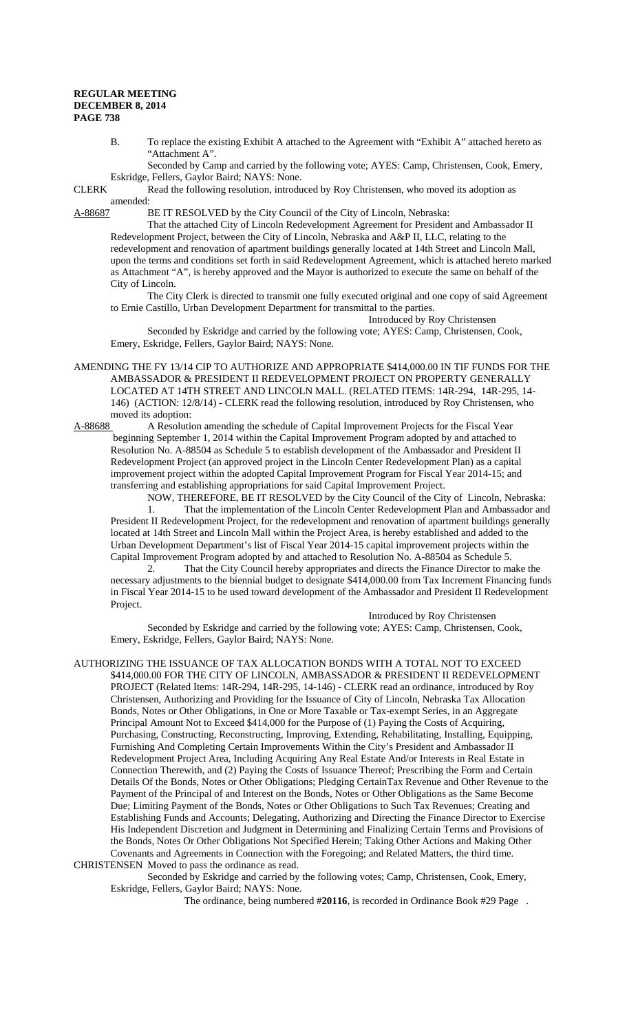B. To replace the existing Exhibit A attached to the Agreement with "Exhibit A" attached hereto as "Attachment A".

Seconded by Camp and carried by the following vote; AYES: Camp, Christensen, Cook, Emery, Eskridge, Fellers, Gaylor Baird; NAYS: None.

CLERK Read the following resolution, introduced by Roy Christensen, who moved its adoption as amended:

A-88687 BE IT RESOLVED by the City Council of the City of Lincoln, Nebraska:

That the attached City of Lincoln Redevelopment Agreement for President and Ambassador II Redevelopment Project, between the City of Lincoln, Nebraska and A&P II, LLC, relating to the redevelopment and renovation of apartment buildings generally located at 14th Street and Lincoln Mall, upon the terms and conditions set forth in said Redevelopment Agreement, which is attached hereto marked as Attachment "A", is hereby approved and the Mayor is authorized to execute the same on behalf of the City of Lincoln.

The City Clerk is directed to transmit one fully executed original and one copy of said Agreement to Ernie Castillo, Urban Development Department for transmittal to the parties.

Introduced by Roy Christensen Seconded by Eskridge and carried by the following vote; AYES: Camp, Christensen, Cook, Emery, Eskridge, Fellers, Gaylor Baird; NAYS: None.

AMENDING THE FY 13/14 CIP TO AUTHORIZE AND APPROPRIATE \$414,000.00 IN TIF FUNDS FOR THE AMBASSADOR & PRESIDENT II REDEVELOPMENT PROJECT ON PROPERTY GENERALLY LOCATED AT 14TH STREET AND LINCOLN MALL. (RELATED ITEMS: 14R-294, 14R-295, 14- 146) (ACTION: 12/8/14) - CLERK read the following resolution, introduced by Roy Christensen, who moved its adoption:

A-88688 A Resolution amending the schedule of Capital Improvement Projects for the Fiscal Year beginning September 1, 2014 within the Capital Improvement Program adopted by and attached to Resolution No. A-88504 as Schedule 5 to establish development of the Ambassador and President II Redevelopment Project (an approved project in the Lincoln Center Redevelopment Plan) as a capital improvement project within the adopted Capital Improvement Program for Fiscal Year 2014-15; and transferring and establishing appropriations for said Capital Improvement Project.

NOW, THEREFORE, BE IT RESOLVED by the City Council of the City of Lincoln, Nebraska: 1. That the implementation of the Lincoln Center Redevelopment Plan and Ambassador and President II Redevelopment Project, for the redevelopment and renovation of apartment buildings generally located at 14th Street and Lincoln Mall within the Project Area, is hereby established and added to the Urban Development Department's list of Fiscal Year 2014-15 capital improvement projects within the Capital Improvement Program adopted by and attached to Resolution No. A-88504 as Schedule 5.

2. That the City Council hereby appropriates and directs the Finance Director to make the necessary adjustments to the biennial budget to designate \$414,000.00 from Tax Increment Financing funds in Fiscal Year 2014-15 to be used toward development of the Ambassador and President II Redevelopment Project.

Introduced by Roy Christensen

Seconded by Eskridge and carried by the following vote; AYES: Camp, Christensen, Cook, Emery, Eskridge, Fellers, Gaylor Baird; NAYS: None.

AUTHORIZING THE ISSUANCE OF TAX ALLOCATION BONDS WITH A TOTAL NOT TO EXCEED \$414,000.00 FOR THE CITY OF LINCOLN, AMBASSADOR & PRESIDENT II REDEVELOPMENT PROJECT (Related Items: 14R-294, 14R-295, 14-146) - CLERK read an ordinance, introduced by Roy Christensen, Authorizing and Providing for the Issuance of City of Lincoln, Nebraska Tax Allocation Bonds, Notes or Other Obligations, in One or More Taxable or Tax-exempt Series, in an Aggregate Principal Amount Not to Exceed \$414,000 for the Purpose of (1) Paying the Costs of Acquiring, Purchasing, Constructing, Reconstructing, Improving, Extending, Rehabilitating, Installing, Equipping, Furnishing And Completing Certain Improvements Within the City's President and Ambassador II Redevelopment Project Area, Including Acquiring Any Real Estate And/or Interests in Real Estate in Connection Therewith, and (2) Paying the Costs of Issuance Thereof; Prescribing the Form and Certain Details Of the Bonds, Notes or Other Obligations; Pledging CertainTax Revenue and Other Revenue to the Payment of the Principal of and Interest on the Bonds, Notes or Other Obligations as the Same Become Due; Limiting Payment of the Bonds, Notes or Other Obligations to Such Tax Revenues; Creating and Establishing Funds and Accounts; Delegating, Authorizing and Directing the Finance Director to Exercise His Independent Discretion and Judgment in Determining and Finalizing Certain Terms and Provisions of the Bonds, Notes Or Other Obligations Not Specified Herein; Taking Other Actions and Making Other Covenants and Agreements in Connection with the Foregoing; and Related Matters, the third time. CHRISTENSEN Moved to pass the ordinance as read.

Seconded by Eskridge and carried by the following votes; Camp, Christensen, Cook, Emery, Eskridge, Fellers, Gaylor Baird; NAYS: None.

The ordinance, being numbered #**20116**, is recorded in Ordinance Book #29 Page .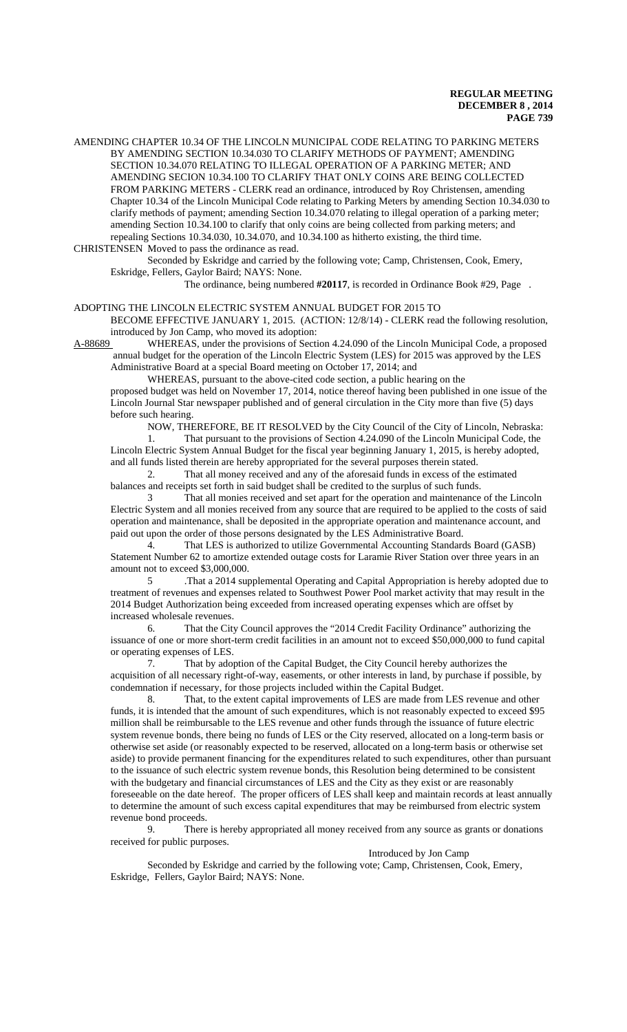AMENDING CHAPTER 10.34 OF THE LINCOLN MUNICIPAL CODE RELATING TO PARKING METERS BY AMENDING SECTION 10.34.030 TO CLARIFY METHODS OF PAYMENT; AMENDING SECTION 10.34.070 RELATING TO ILLEGAL OPERATION OF A PARKING METER; AND AMENDING SECION 10.34.100 TO CLARIFY THAT ONLY COINS ARE BEING COLLECTED FROM PARKING METERS - CLERK read an ordinance, introduced by Roy Christensen, amending Chapter 10.34 of the Lincoln Municipal Code relating to Parking Meters by amending Section 10.34.030 to clarify methods of payment; amending Section 10.34.070 relating to illegal operation of a parking meter; amending Section 10.34.100 to clarify that only coins are being collected from parking meters; and repealing Sections 10.34.030, 10.34.070, and 10.34.100 as hitherto existing, the third time.

CHRISTENSEN Moved to pass the ordinance as read.

Seconded by Eskridge and carried by the following vote; Camp, Christensen, Cook, Emery, Eskridge, Fellers, Gaylor Baird; NAYS: None.

The ordinance, being numbered **#20117**, is recorded in Ordinance Book #29, Page .

#### ADOPTING THE LINCOLN ELECTRIC SYSTEM ANNUAL BUDGET FOR 2015 TO

BECOME EFFECTIVE JANUARY 1, 2015. (ACTION: 12/8/14) - CLERK read the following resolution, introduced by Jon Camp, who moved its adoption:

A-88689 WHEREAS, under the provisions of Section 4.24.090 of the Lincoln Municipal Code, a proposed annual budget for the operation of the Lincoln Electric System (LES) for 2015 was approved by the LES Administrative Board at a special Board meeting on October 17, 2014; and

WHEREAS, pursuant to the above-cited code section, a public hearing on the

proposed budget was held on November 17, 2014, notice thereof having been published in one issue of the Lincoln Journal Star newspaper published and of general circulation in the City more than five (5) days before such hearing.

NOW, THEREFORE, BE IT RESOLVED by the City Council of the City of Lincoln, Nebraska: 1. That pursuant to the provisions of Section 4.24.090 of the Lincoln Municipal Code, the Lincoln Electric System Annual Budget for the fiscal year beginning January 1, 2015, is hereby adopted, and all funds listed therein are hereby appropriated for the several purposes therein stated.

2. That all money received and any of the aforesaid funds in excess of the estimated balances and receipts set forth in said budget shall be credited to the surplus of such funds.

3 That all monies received and set apart for the operation and maintenance of the Lincoln Electric System and all monies received from any source that are required to be applied to the costs of said operation and maintenance, shall be deposited in the appropriate operation and maintenance account, and paid out upon the order of those persons designated by the LES Administrative Board.

4. That LES is authorized to utilize Governmental Accounting Standards Board (GASB) Statement Number 62 to amortize extended outage costs for Laramie River Station over three years in an amount not to exceed \$3,000,000.

5 .That a 2014 supplemental Operating and Capital Appropriation is hereby adopted due to treatment of revenues and expenses related to Southwest Power Pool market activity that may result in the 2014 Budget Authorization being exceeded from increased operating expenses which are offset by increased wholesale revenues.

6. That the City Council approves the "2014 Credit Facility Ordinance" authorizing the issuance of one or more short-term credit facilities in an amount not to exceed \$50,000,000 to fund capital or operating expenses of LES.

7. That by adoption of the Capital Budget, the City Council hereby authorizes the acquisition of all necessary right-of-way, easements, or other interests in land, by purchase if possible, by condemnation if necessary, for those projects included within the Capital Budget.

8. That, to the extent capital improvements of LES are made from LES revenue and other funds, it is intended that the amount of such expenditures, which is not reasonably expected to exceed \$95 million shall be reimbursable to the LES revenue and other funds through the issuance of future electric system revenue bonds, there being no funds of LES or the City reserved, allocated on a long-term basis or otherwise set aside (or reasonably expected to be reserved, allocated on a long-term basis or otherwise set aside) to provide permanent financing for the expenditures related to such expenditures, other than pursuant to the issuance of such electric system revenue bonds, this Resolution being determined to be consistent with the budgetary and financial circumstances of LES and the City as they exist or are reasonably foreseeable on the date hereof. The proper officers of LES shall keep and maintain records at least annually to determine the amount of such excess capital expenditures that may be reimbursed from electric system revenue bond proceeds.

9. There is hereby appropriated all money received from any source as grants or donations received for public purposes.

# Introduced by Jon Camp

Seconded by Eskridge and carried by the following vote; Camp, Christensen, Cook, Emery, Eskridge, Fellers, Gaylor Baird; NAYS: None.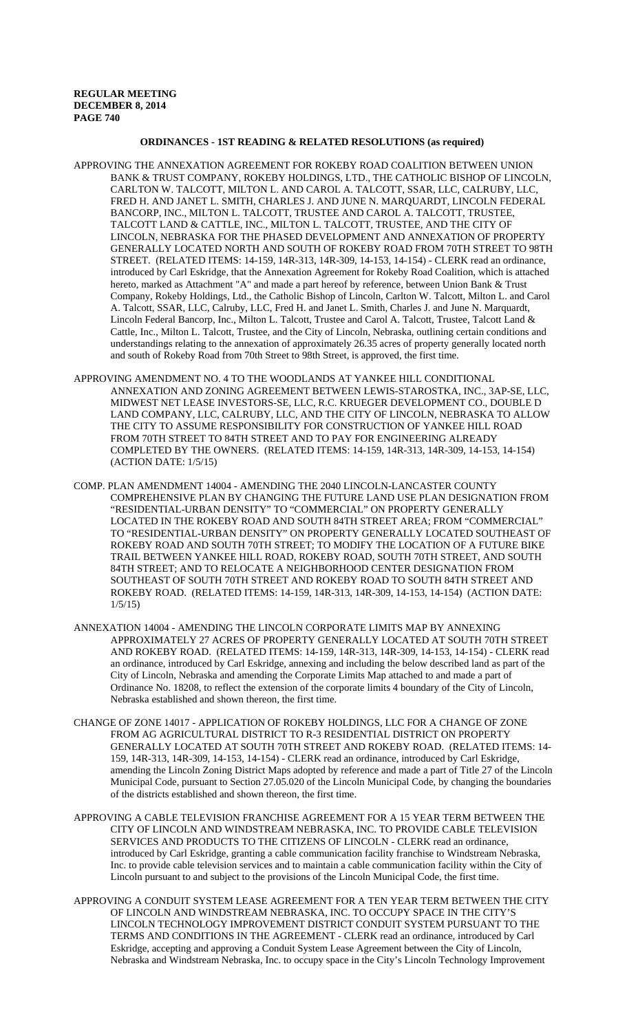# **ORDINANCES - 1ST READING & RELATED RESOLUTIONS (as required)**

- APPROVING THE ANNEXATION AGREEMENT FOR ROKEBY ROAD COALITION BETWEEN UNION BANK & TRUST COMPANY, ROKEBY HOLDINGS, LTD., THE CATHOLIC BISHOP OF LINCOLN, CARLTON W. TALCOTT, MILTON L. AND CAROL A. TALCOTT, SSAR, LLC, CALRUBY, LLC, FRED H. AND JANET L. SMITH, CHARLES J. AND JUNE N. MARQUARDT, LINCOLN FEDERAL BANCORP, INC., MILTON L. TALCOTT, TRUSTEE AND CAROL A. TALCOTT, TRUSTEE, TALCOTT LAND & CATTLE, INC., MILTON L. TALCOTT, TRUSTEE, AND THE CITY OF LINCOLN, NEBRASKA FOR THE PHASED DEVELOPMENT AND ANNEXATION OF PROPERTY GENERALLY LOCATED NORTH AND SOUTH OF ROKEBY ROAD FROM 70TH STREET TO 98TH STREET. (RELATED ITEMS: 14-159, 14R-313, 14R-309, 14-153, 14-154) - CLERK read an ordinance, introduced by Carl Eskridge, that the Annexation Agreement for Rokeby Road Coalition, which is attached hereto, marked as Attachment "A" and made a part hereof by reference, between Union Bank & Trust Company, Rokeby Holdings, Ltd., the Catholic Bishop of Lincoln, Carlton W. Talcott, Milton L. and Carol A. Talcott, SSAR, LLC, Calruby, LLC, Fred H. and Janet L. Smith, Charles J. and June N. Marquardt, Lincoln Federal Bancorp, Inc., Milton L. Talcott, Trustee and Carol A. Talcott, Trustee, Talcott Land & Cattle, Inc., Milton L. Talcott, Trustee, and the City of Lincoln, Nebraska, outlining certain conditions and understandings relating to the annexation of approximately 26.35 acres of property generally located north and south of Rokeby Road from 70th Street to 98th Street, is approved, the first time.
- APPROVING AMENDMENT NO. 4 TO THE WOODLANDS AT YANKEE HILL CONDITIONAL ANNEXATION AND ZONING AGREEMENT BETWEEN LEWIS-STAROSTKA, INC., 3AP-SE, LLC, MIDWEST NET LEASE INVESTORS-SE, LLC, R.C. KRUEGER DEVELOPMENT CO., DOUBLE D LAND COMPANY, LLC, CALRUBY, LLC, AND THE CITY OF LINCOLN, NEBRASKA TO ALLOW THE CITY TO ASSUME RESPONSIBILITY FOR CONSTRUCTION OF YANKEE HILL ROAD FROM 70TH STREET TO 84TH STREET AND TO PAY FOR ENGINEERING ALREADY COMPLETED BY THE OWNERS. (RELATED ITEMS: 14-159, 14R-313, 14R-309, 14-153, 14-154) (ACTION DATE: 1/5/15)
- COMP. PLAN AMENDMENT 14004 AMENDING THE 2040 LINCOLN-LANCASTER COUNTY COMPREHENSIVE PLAN BY CHANGING THE FUTURE LAND USE PLAN DESIGNATION FROM "RESIDENTIAL-URBAN DENSITY" TO "COMMERCIAL" ON PROPERTY GENERALLY LOCATED IN THE ROKEBY ROAD AND SOUTH 84TH STREET AREA; FROM "COMMERCIAL" TO "RESIDENTIAL-URBAN DENSITY" ON PROPERTY GENERALLY LOCATED SOUTHEAST OF ROKEBY ROAD AND SOUTH 70TH STREET; TO MODIFY THE LOCATION OF A FUTURE BIKE TRAIL BETWEEN YANKEE HILL ROAD, ROKEBY ROAD, SOUTH 70TH STREET, AND SOUTH 84TH STREET; AND TO RELOCATE A NEIGHBORHOOD CENTER DESIGNATION FROM SOUTHEAST OF SOUTH 70TH STREET AND ROKEBY ROAD TO SOUTH 84TH STREET AND ROKEBY ROAD. (RELATED ITEMS: 14-159, 14R-313, 14R-309, 14-153, 14-154) (ACTION DATE: 1/5/15)
- ANNEXATION 14004 AMENDING THE LINCOLN CORPORATE LIMITS MAP BY ANNEXING APPROXIMATELY 27 ACRES OF PROPERTY GENERALLY LOCATED AT SOUTH 70TH STREET AND ROKEBY ROAD. (RELATED ITEMS: 14-159, 14R-313, 14R-309, 14-153, 14-154) - CLERK read an ordinance, introduced by Carl Eskridge, annexing and including the below described land as part of the City of Lincoln, Nebraska and amending the Corporate Limits Map attached to and made a part of Ordinance No. 18208, to reflect the extension of the corporate limits 4 boundary of the City of Lincoln, Nebraska established and shown thereon, the first time.
- CHANGE OF ZONE 14017 APPLICATION OF ROKEBY HOLDINGS, LLC FOR A CHANGE OF ZONE FROM AG AGRICULTURAL DISTRICT TO R-3 RESIDENTIAL DISTRICT ON PROPERTY GENERALLY LOCATED AT SOUTH 70TH STREET AND ROKEBY ROAD. (RELATED ITEMS: 14- 159, 14R-313, 14R-309, 14-153, 14-154) - CLERK read an ordinance, introduced by Carl Eskridge, amending the Lincoln Zoning District Maps adopted by reference and made a part of Title 27 of the Lincoln Municipal Code, pursuant to Section 27.05.020 of the Lincoln Municipal Code, by changing the boundaries of the districts established and shown thereon, the first time.
- APPROVING A CABLE TELEVISION FRANCHISE AGREEMENT FOR A 15 YEAR TERM BETWEEN THE CITY OF LINCOLN AND WINDSTREAM NEBRASKA, INC. TO PROVIDE CABLE TELEVISION SERVICES AND PRODUCTS TO THE CITIZENS OF LINCOLN - CLERK read an ordinance, introduced by Carl Eskridge, granting a cable communication facility franchise to Windstream Nebraska, Inc. to provide cable television services and to maintain a cable communication facility within the City of Lincoln pursuant to and subject to the provisions of the Lincoln Municipal Code, the first time.
- APPROVING A CONDUIT SYSTEM LEASE AGREEMENT FOR A TEN YEAR TERM BETWEEN THE CITY OF LINCOLN AND WINDSTREAM NEBRASKA, INC. TO OCCUPY SPACE IN THE CITY'S LINCOLN TECHNOLOGY IMPROVEMENT DISTRICT CONDUIT SYSTEM PURSUANT TO THE TERMS AND CONDITIONS IN THE AGREEMENT - CLERK read an ordinance, introduced by Carl Eskridge, accepting and approving a Conduit System Lease Agreement between the City of Lincoln, Nebraska and Windstream Nebraska, Inc. to occupy space in the City's Lincoln Technology Improvement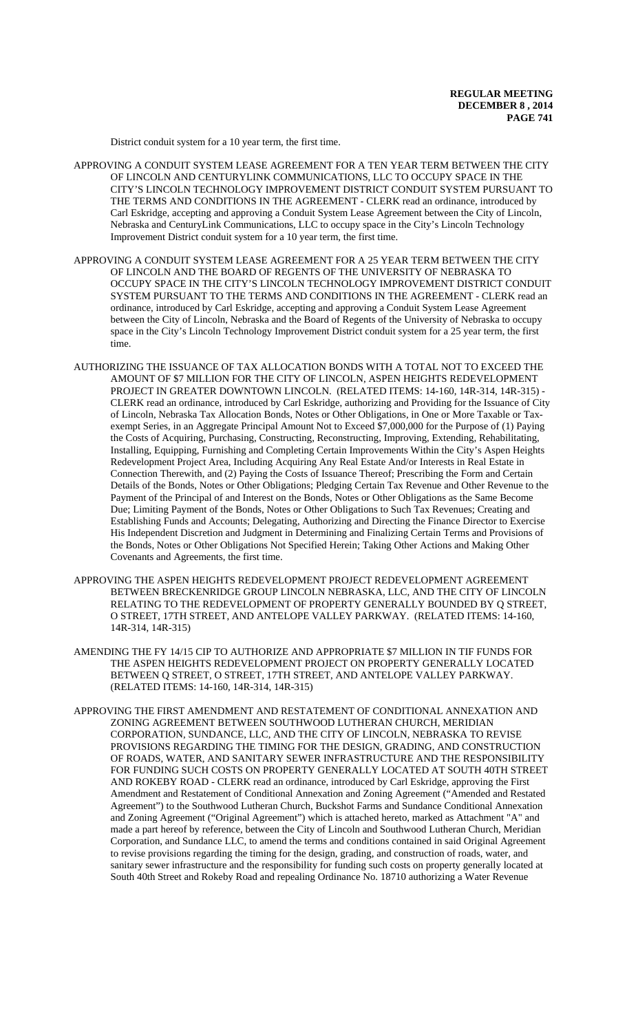District conduit system for a 10 year term, the first time.

- APPROVING A CONDUIT SYSTEM LEASE AGREEMENT FOR A TEN YEAR TERM BETWEEN THE CITY OF LINCOLN AND CENTURYLINK COMMUNICATIONS, LLC TO OCCUPY SPACE IN THE CITY'S LINCOLN TECHNOLOGY IMPROVEMENT DISTRICT CONDUIT SYSTEM PURSUANT TO THE TERMS AND CONDITIONS IN THE AGREEMENT - CLERK read an ordinance, introduced by Carl Eskridge, accepting and approving a Conduit System Lease Agreement between the City of Lincoln, Nebraska and CenturyLink Communications, LLC to occupy space in the City's Lincoln Technology Improvement District conduit system for a 10 year term, the first time.
- APPROVING A CONDUIT SYSTEM LEASE AGREEMENT FOR A 25 YEAR TERM BETWEEN THE CITY OF LINCOLN AND THE BOARD OF REGENTS OF THE UNIVERSITY OF NEBRASKA TO OCCUPY SPACE IN THE CITY'S LINCOLN TECHNOLOGY IMPROVEMENT DISTRICT CONDUIT SYSTEM PURSUANT TO THE TERMS AND CONDITIONS IN THE AGREEMENT - CLERK read an ordinance, introduced by Carl Eskridge, accepting and approving a Conduit System Lease Agreement between the City of Lincoln, Nebraska and the Board of Regents of the University of Nebraska to occupy space in the City's Lincoln Technology Improvement District conduit system for a 25 year term, the first time.
- AUTHORIZING THE ISSUANCE OF TAX ALLOCATION BONDS WITH A TOTAL NOT TO EXCEED THE AMOUNT OF \$7 MILLION FOR THE CITY OF LINCOLN, ASPEN HEIGHTS REDEVELOPMENT PROJECT IN GREATER DOWNTOWN LINCOLN. (RELATED ITEMS: 14-160, 14R-314, 14R-315) -CLERK read an ordinance, introduced by Carl Eskridge, authorizing and Providing for the Issuance of City of Lincoln, Nebraska Tax Allocation Bonds, Notes or Other Obligations, in One or More Taxable or Taxexempt Series, in an Aggregate Principal Amount Not to Exceed \$7,000,000 for the Purpose of (1) Paying the Costs of Acquiring, Purchasing, Constructing, Reconstructing, Improving, Extending, Rehabilitating, Installing, Equipping, Furnishing and Completing Certain Improvements Within the City's Aspen Heights Redevelopment Project Area, Including Acquiring Any Real Estate And/or Interests in Real Estate in Connection Therewith, and (2) Paying the Costs of Issuance Thereof; Prescribing the Form and Certain Details of the Bonds, Notes or Other Obligations; Pledging Certain Tax Revenue and Other Revenue to the Payment of the Principal of and Interest on the Bonds, Notes or Other Obligations as the Same Become Due; Limiting Payment of the Bonds, Notes or Other Obligations to Such Tax Revenues; Creating and Establishing Funds and Accounts; Delegating, Authorizing and Directing the Finance Director to Exercise His Independent Discretion and Judgment in Determining and Finalizing Certain Terms and Provisions of the Bonds, Notes or Other Obligations Not Specified Herein; Taking Other Actions and Making Other Covenants and Agreements, the first time.
- APPROVING THE ASPEN HEIGHTS REDEVELOPMENT PROJECT REDEVELOPMENT AGREEMENT BETWEEN BRECKENRIDGE GROUP LINCOLN NEBRASKA, LLC, AND THE CITY OF LINCOLN RELATING TO THE REDEVELOPMENT OF PROPERTY GENERALLY BOUNDED BY Q STREET, O STREET, 17TH STREET, AND ANTELOPE VALLEY PARKWAY. (RELATED ITEMS: 14-160, 14R-314, 14R-315)
- AMENDING THE FY 14/15 CIP TO AUTHORIZE AND APPROPRIATE \$7 MILLION IN TIF FUNDS FOR THE ASPEN HEIGHTS REDEVELOPMENT PROJECT ON PROPERTY GENERALLY LOCATED BETWEEN Q STREET, O STREET, 17TH STREET, AND ANTELOPE VALLEY PARKWAY. (RELATED ITEMS: 14-160, 14R-314, 14R-315)
- APPROVING THE FIRST AMENDMENT AND RESTATEMENT OF CONDITIONAL ANNEXATION AND ZONING AGREEMENT BETWEEN SOUTHWOOD LUTHERAN CHURCH, MERIDIAN CORPORATION, SUNDANCE, LLC, AND THE CITY OF LINCOLN, NEBRASKA TO REVISE PROVISIONS REGARDING THE TIMING FOR THE DESIGN, GRADING, AND CONSTRUCTION OF ROADS, WATER, AND SANITARY SEWER INFRASTRUCTURE AND THE RESPONSIBILITY FOR FUNDING SUCH COSTS ON PROPERTY GENERALLY LOCATED AT SOUTH 40TH STREET AND ROKEBY ROAD - CLERK read an ordinance, introduced by Carl Eskridge, approving the First Amendment and Restatement of Conditional Annexation and Zoning Agreement ("Amended and Restated Agreement") to the Southwood Lutheran Church, Buckshot Farms and Sundance Conditional Annexation and Zoning Agreement ("Original Agreement") which is attached hereto, marked as Attachment "A" and made a part hereof by reference, between the City of Lincoln and Southwood Lutheran Church, Meridian Corporation, and Sundance LLC, to amend the terms and conditions contained in said Original Agreement to revise provisions regarding the timing for the design, grading, and construction of roads, water, and sanitary sewer infrastructure and the responsibility for funding such costs on property generally located at South 40th Street and Rokeby Road and repealing Ordinance No. 18710 authorizing a Water Revenue